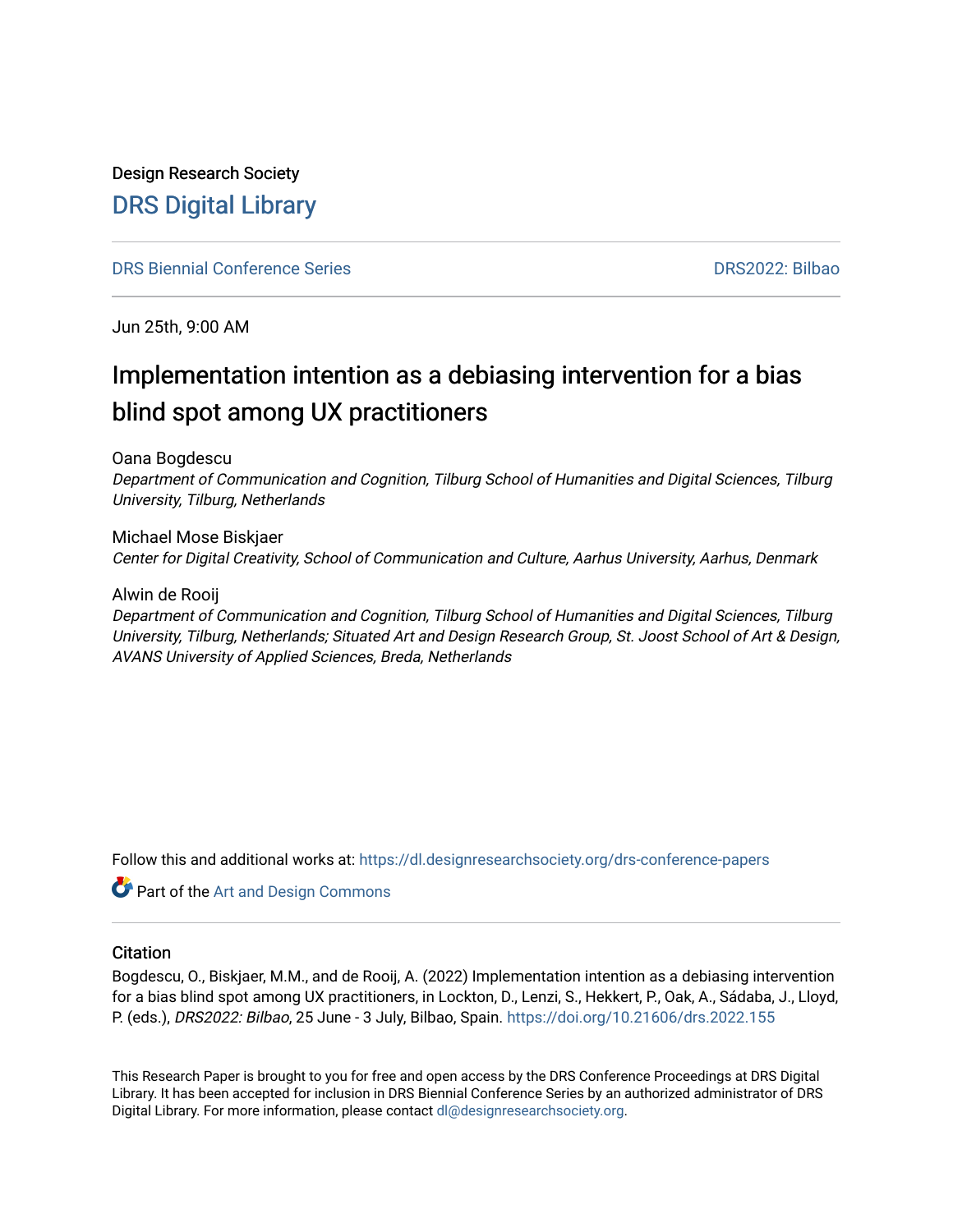### Design Research Society [DRS Digital Library](https://dl.designresearchsociety.org/)

#### [DRS Biennial Conference Series](https://dl.designresearchsociety.org/drs-conference-papers) [DRS2022: Bilbao](https://dl.designresearchsociety.org/drs-conference-papers/drs2022)

Jun 25th, 9:00 AM

## Implementation intention as a debiasing intervention for a bias blind spot among UX practitioners

Oana Bogdescu

Department of Communication and Cognition, Tilburg School of Humanities and Digital Sciences, Tilburg University, Tilburg, Netherlands

Michael Mose Biskjaer Center for Digital Creativity, School of Communication and Culture, Aarhus University, Aarhus, Denmark

Alwin de Rooij

Department of Communication and Cognition, Tilburg School of Humanities and Digital Sciences, Tilburg University, Tilburg, Netherlands; Situated Art and Design Research Group, St. Joost School of Art & Design, AVANS University of Applied Sciences, Breda, Netherlands

Follow this and additional works at: [https://dl.designresearchsociety.org/drs-conference-papers](https://dl.designresearchsociety.org/drs-conference-papers?utm_source=dl.designresearchsociety.org%2Fdrs-conference-papers%2Fdrs2022%2Fresearchpapers%2F6&utm_medium=PDF&utm_campaign=PDFCoverPages) 

**Part of the [Art and Design Commons](https://network.bepress.com/hgg/discipline/1049?utm_source=dl.designresearchsociety.org%2Fdrs-conference-papers%2Fdrs2022%2Fresearchpapers%2F6&utm_medium=PDF&utm_campaign=PDFCoverPages)** 

#### **Citation**

Bogdescu, O., Biskjaer, M.M., and de Rooij, A. (2022) Implementation intention as a debiasing intervention for a bias blind spot among UX practitioners, in Lockton, D., Lenzi, S., Hekkert, P., Oak, A., Sádaba, J., Lloyd, P. (eds.), DRS2022: Bilbao, 25 June - 3 July, Bilbao, Spain. <https://doi.org/10.21606/drs.2022.155>

This Research Paper is brought to you for free and open access by the DRS Conference Proceedings at DRS Digital Library. It has been accepted for inclusion in DRS Biennial Conference Series by an authorized administrator of DRS Digital Library. For more information, please contact [dl@designresearchsociety.org](mailto:dl@designresearchsociety.org).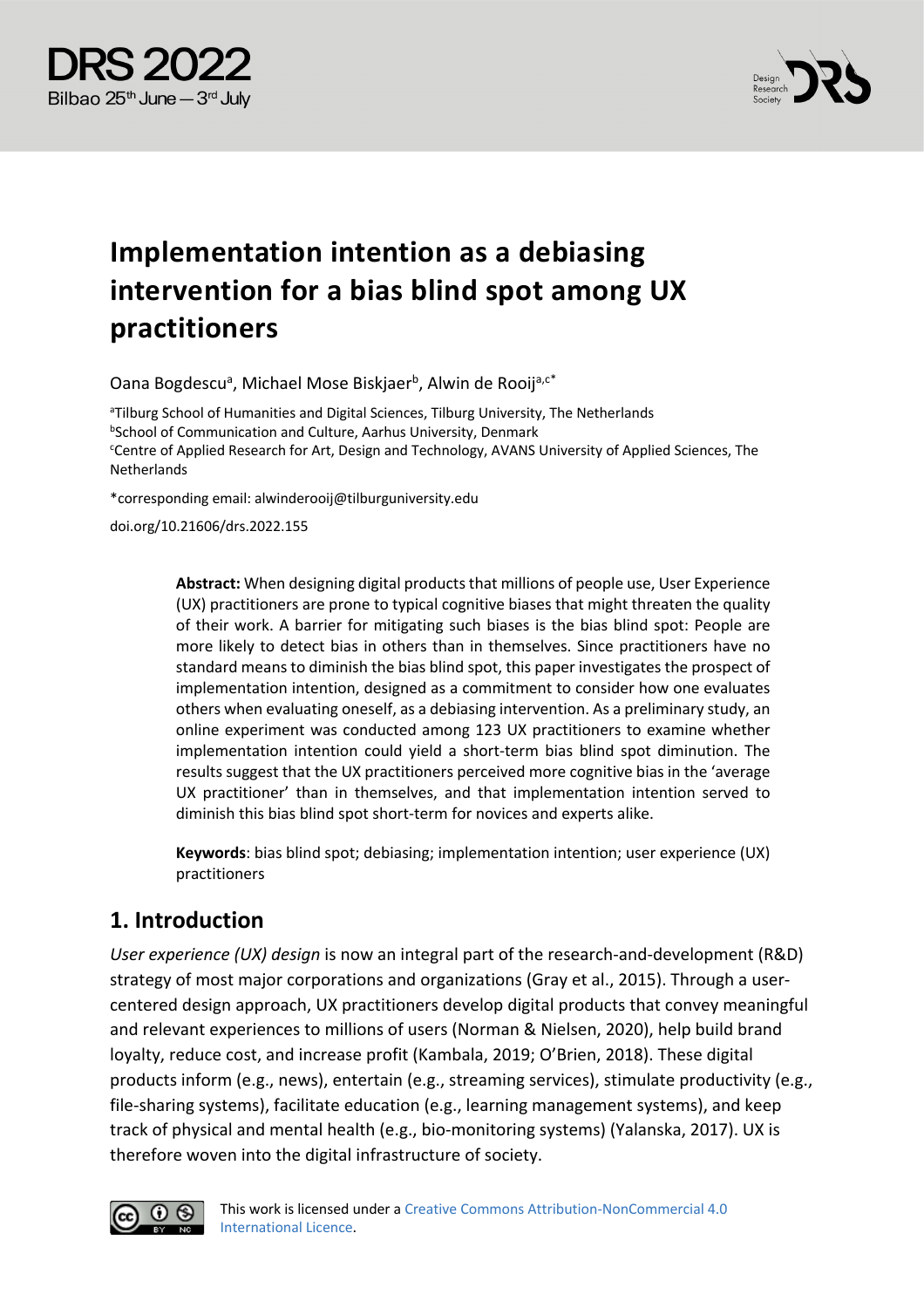



# **Implementation intention as a debiasing intervention for a bias blind spot among UX practitioners**

Oana Bogdescu<sup>a</sup>, Michael Mose Biskjaer<sup>b</sup>, Alwin de Rooij<sup>a,c\*</sup>

<sup>a</sup>Tilburg School of Humanities and Digital Sciences, Tilburg University, The Netherlands **bSchool of Communication and Culture, Aarhus University, Denmark** Centre of Applied Research for Art, Design and Technology, AVANS University of Applied Sciences, The Netherlands

\*corresponding email: alwinderooij@tilburguniversity.edu

doi.org/10.21606/drs.2022.155

**Abstract:** When designing digital products that millions of people use, User Experience (UX) practitioners are prone to typical cognitive biases that might threaten the quality of their work. A barrier for mitigating such biases is the bias blind spot: People are more likely to detect bias in others than in themselves. Since practitioners have no standard means to diminish the bias blind spot, this paper investigates the prospect of implementation intention, designed as a commitment to consider how one evaluates others when evaluating oneself, as a debiasing intervention. As a preliminary study, an online experiment was conducted among 123 UX practitioners to examine whether implementation intention could yield a short-term bias blind spot diminution. The results suggest that the UX practitioners perceived more cognitive bias in the 'average UX practitioner' than in themselves, and that implementation intention served to diminish this bias blind spot short-term for novices and experts alike.

**Keywords**: bias blind spot; debiasing; implementation intention; user experience (UX) practitioners

#### **1. Introduction**

*User experience (UX) design* is now an integral part of the research-and-development (R&D) strategy of most major corporations and organizations (Gray et al., 2015). Through a usercentered design approach, UX practitioners develop digital products that convey meaningful and relevant experiences to millions of users (Norman & Nielsen, 2020), help build brand loyalty, reduce cost, and increase profit (Kambala, 2019; O'Brien, 2018). These digital products inform (e.g., news), entertain (e.g., streaming services), stimulate productivity (e.g., file-sharing systems), facilitate education (e.g., learning management systems), and keep track of physical and mental health (e.g., bio-monitoring systems) (Yalanska, 2017). UX is therefore woven into the digital infrastructure of society.

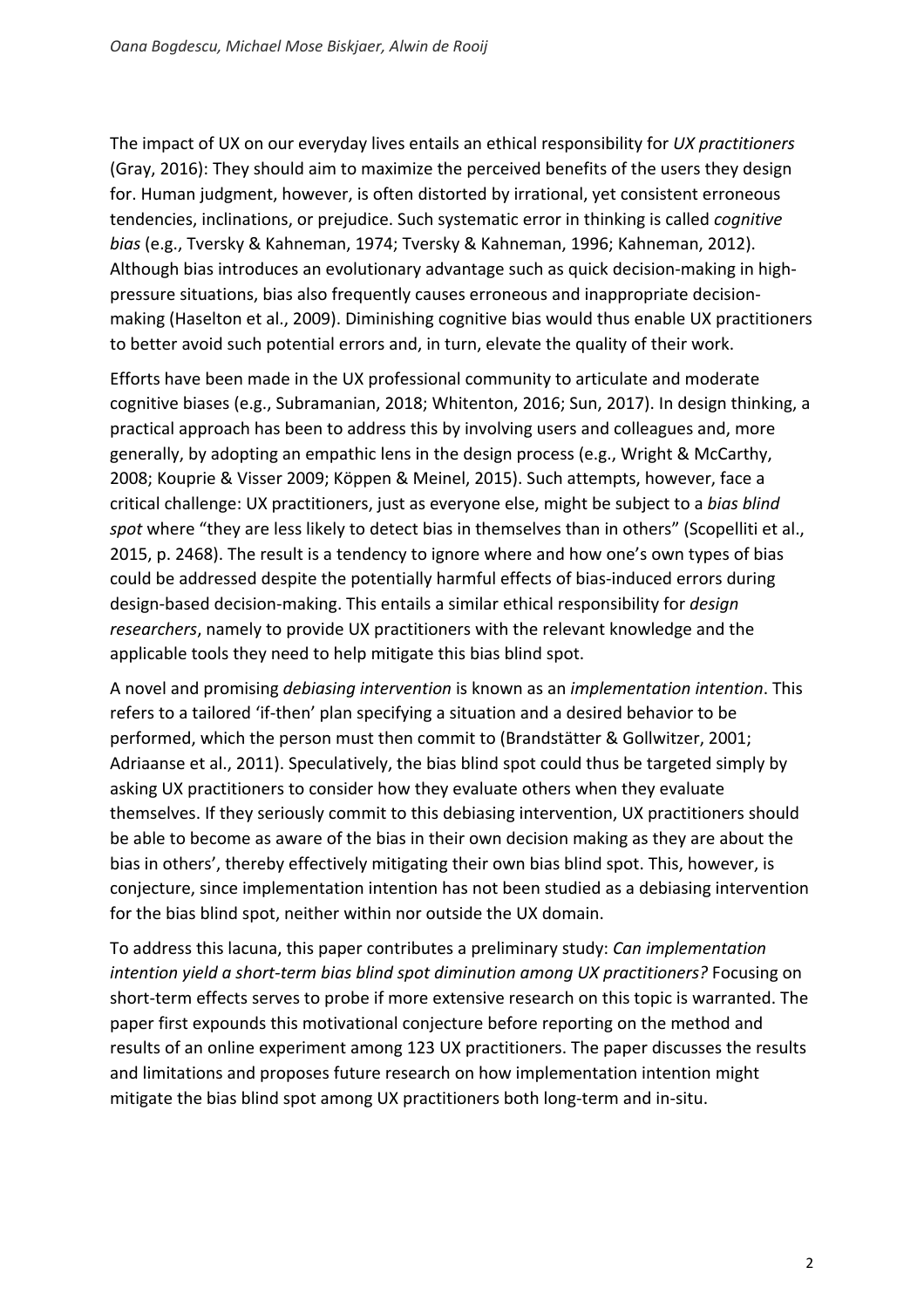The impact of UX on our everyday lives entails an ethical responsibility for *UX practitioners* (Gray, 2016): They should aim to maximize the perceived benefits of the users they design for. Human judgment, however, is often distorted by irrational, yet consistent erroneous tendencies, inclinations, or prejudice. Such systematic error in thinking is called *cognitive bias* (e.g., Tversky & Kahneman, 1974; Tversky & Kahneman, 1996; Kahneman, 2012). Although bias introduces an evolutionary advantage such as quick decision-making in highpressure situations, bias also frequently causes erroneous and inappropriate decisionmaking (Haselton et al., 2009). Diminishing cognitive bias would thus enable UX practitioners to better avoid such potential errors and, in turn, elevate the quality of their work.

Efforts have been made in the UX professional community to articulate and moderate cognitive biases (e.g., Subramanian, 2018; Whitenton, 2016; Sun, 2017). In design thinking, a practical approach has been to address this by involving users and colleagues and, more generally, by adopting an empathic lens in the design process (e.g., Wright & McCarthy, 2008; Kouprie & Visser 2009; Köppen & Meinel, 2015). Such attempts, however, face a critical challenge: UX practitioners, just as everyone else, might be subject to a *bias blind spot* where "they are less likely to detect bias in themselves than in others" (Scopelliti et al., 2015, p. 2468). The result is a tendency to ignore where and how one's own types of bias could be addressed despite the potentially harmful effects of bias-induced errors during design-based decision-making. This entails a similar ethical responsibility for *design researchers*, namely to provide UX practitioners with the relevant knowledge and the applicable tools they need to help mitigate this bias blind spot.

A novel and promising *debiasing intervention* is known as an *implementation intention*. This refers to a tailored 'if-then' plan specifying a situation and a desired behavior to be performed, which the person must then commit to (Brandstätter & Gollwitzer, 2001; Adriaanse et al., 2011). Speculatively, the bias blind spot could thus be targeted simply by asking UX practitioners to consider how they evaluate others when they evaluate themselves. If they seriously commit to this debiasing intervention, UX practitioners should be able to become as aware of the bias in their own decision making as they are about the bias in others', thereby effectively mitigating their own bias blind spot. This, however, is conjecture, since implementation intention has not been studied as a debiasing intervention for the bias blind spot, neither within nor outside the UX domain.

To address this lacuna, this paper contributes a preliminary study: *Can implementation intention yield a short-term bias blind spot diminution among UX practitioners?* Focusing on short-term effects serves to probe if more extensive research on this topic is warranted. The paper first expounds this motivational conjecture before reporting on the method and results of an online experiment among 123 UX practitioners. The paper discusses the results and limitations and proposes future research on how implementation intention might mitigate the bias blind spot among UX practitioners both long-term and in-situ.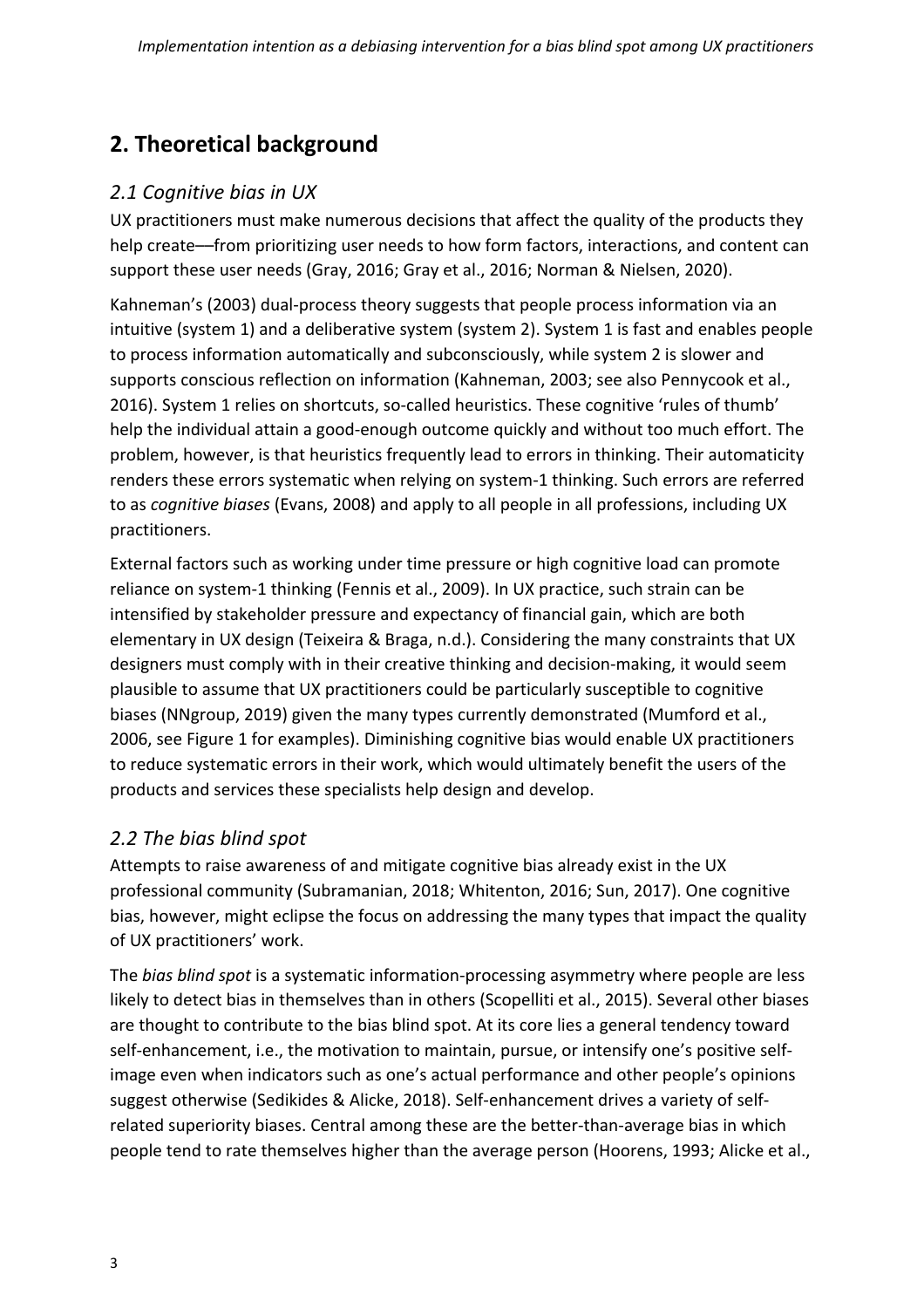## **2. Theoretical background**

#### *2.1 Cognitive bias in UX*

UX practitioners must make numerous decisions that affect the quality of the products they help create––from prioritizing user needs to how form factors, interactions, and content can support these user needs (Gray, 2016; Gray et al., 2016; Norman & Nielsen, 2020).

Kahneman's (2003) dual-process theory suggests that people process information via an intuitive (system 1) and a deliberative system (system 2). System 1 is fast and enables people to process information automatically and subconsciously, while system 2 is slower and supports conscious reflection on information (Kahneman, 2003; see also Pennycook et al., 2016). System 1 relies on shortcuts, so-called heuristics. These cognitive 'rules of thumb' help the individual attain a good-enough outcome quickly and without too much effort. The problem, however, is that heuristics frequently lead to errors in thinking. Their automaticity renders these errors systematic when relying on system-1 thinking. Such errors are referred to as *cognitive biases* (Evans, 2008) and apply to all people in all professions, including UX practitioners.

External factors such as working under time pressure or high cognitive load can promote reliance on system-1 thinking (Fennis et al., 2009). In UX practice, such strain can be intensified by stakeholder pressure and expectancy of financial gain, which are both elementary in UX design (Teixeira & Braga, n.d.). Considering the many constraints that UX designers must comply with in their creative thinking and decision-making, it would seem plausible to assume that UX practitioners could be particularly susceptible to cognitive biases (NNgroup, 2019) given the many types currently demonstrated (Mumford et al., 2006, see Figure 1 for examples). Diminishing cognitive bias would enable UX practitioners to reduce systematic errors in their work, which would ultimately benefit the users of the products and services these specialists help design and develop.

#### *2.2 The bias blind spot*

Attempts to raise awareness of and mitigate cognitive bias already exist in the UX professional community (Subramanian, 2018; Whitenton, 2016; Sun, 2017). One cognitive bias, however, might eclipse the focus on addressing the many types that impact the quality of UX practitioners' work.

The *bias blind spot* is a systematic information-processing asymmetry where people are less likely to detect bias in themselves than in others (Scopelliti et al., 2015). Several other biases are thought to contribute to the bias blind spot. At its core lies a general tendency toward self-enhancement, i.e., the motivation to maintain, pursue, or intensify one's positive selfimage even when indicators such as one's actual performance and other people's opinions suggest otherwise (Sedikides & Alicke, 2018). Self-enhancement drives a variety of selfrelated superiority biases. Central among these are the better-than-average bias in which people tend to rate themselves higher than the average person (Hoorens, 1993; Alicke et al.,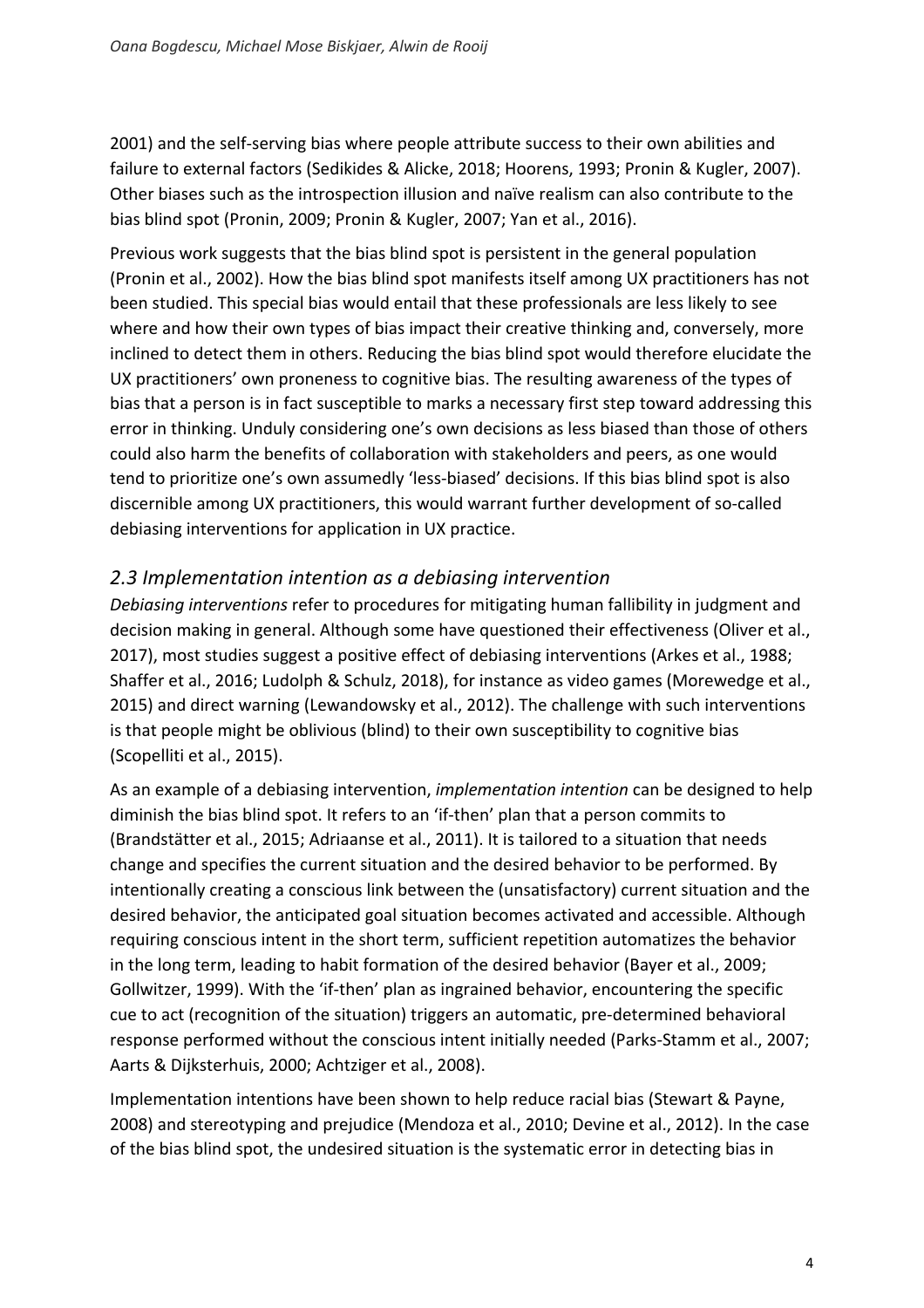2001) and the self-serving bias where people attribute success to their own abilities and failure to external factors (Sedikides & Alicke, 2018; Hoorens, 1993; Pronin & Kugler, 2007). Other biases such as the introspection illusion and naïve realism can also contribute to the bias blind spot (Pronin, 2009; Pronin & Kugler, 2007; Yan et al., 2016).

Previous work suggests that the bias blind spot is persistent in the general population (Pronin et al., 2002). How the bias blind spot manifests itself among UX practitioners has not been studied. This special bias would entail that these professionals are less likely to see where and how their own types of bias impact their creative thinking and, conversely, more inclined to detect them in others. Reducing the bias blind spot would therefore elucidate the UX practitioners' own proneness to cognitive bias. The resulting awareness of the types of bias that a person is in fact susceptible to marks a necessary first step toward addressing this error in thinking. Unduly considering one's own decisions as less biased than those of others could also harm the benefits of collaboration with stakeholders and peers, as one would tend to prioritize one's own assumedly 'less-biased' decisions. If this bias blind spot is also discernible among UX practitioners, this would warrant further development of so-called debiasing interventions for application in UX practice.

#### *2.3 Implementation intention as a debiasing intervention*

*Debiasing interventions* refer to procedures for mitigating human fallibility in judgment and decision making in general. Although some have questioned their effectiveness (Oliver et al., 2017), most studies suggest a positive effect of debiasing interventions (Arkes et al., 1988; Shaffer et al., 2016; Ludolph & Schulz, 2018), for instance as video games (Morewedge et al., 2015) and direct warning (Lewandowsky et al., 2012). The challenge with such interventions is that people might be oblivious (blind) to their own susceptibility to cognitive bias (Scopelliti et al., 2015).

As an example of a debiasing intervention, *implementation intention* can be designed to help diminish the bias blind spot. It refers to an 'if-then' plan that a person commits to (Brandstätter et al., 2015; Adriaanse et al., 2011). It is tailored to a situation that needs change and specifies the current situation and the desired behavior to be performed. By intentionally creating a conscious link between the (unsatisfactory) current situation and the desired behavior, the anticipated goal situation becomes activated and accessible. Although requiring conscious intent in the short term, sufficient repetition automatizes the behavior in the long term, leading to habit formation of the desired behavior (Bayer et al., 2009; Gollwitzer, 1999). With the 'if-then' plan as ingrained behavior, encountering the specific cue to act (recognition of the situation) triggers an automatic, pre-determined behavioral response performed without the conscious intent initially needed (Parks-Stamm et al., 2007; Aarts & Dijksterhuis, 2000; Achtziger et al., 2008).

Implementation intentions have been shown to help reduce racial bias (Stewart & Payne, 2008) and stereotyping and prejudice (Mendoza et al., 2010; Devine et al., 2012). In the case of the bias blind spot, the undesired situation is the systematic error in detecting bias in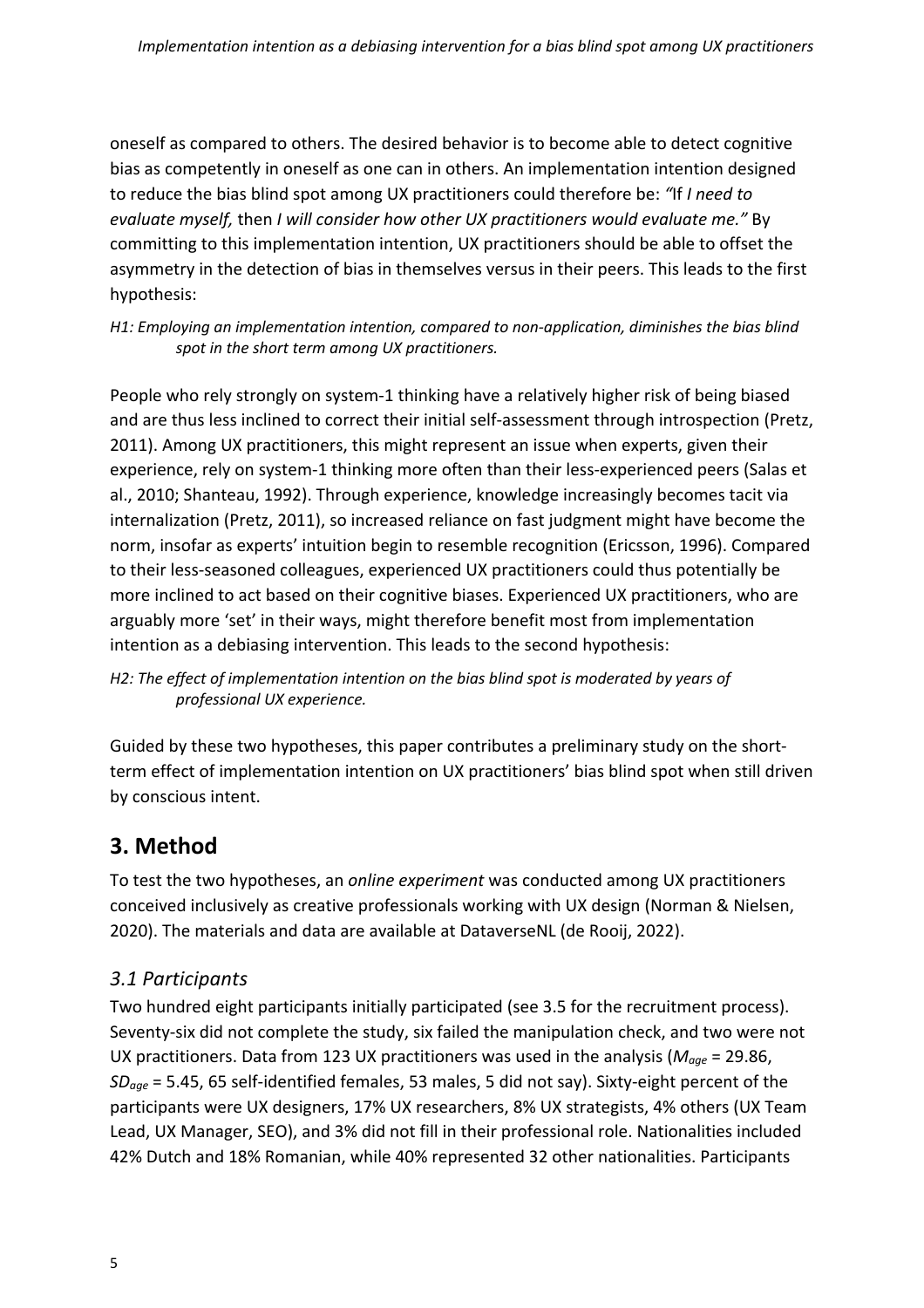oneself as compared to others. The desired behavior is to become able to detect cognitive bias as competently in oneself as one can in others. An implementation intention designed to reduce the bias blind spot among UX practitioners could therefore be: *"*If *I need to evaluate myself,* then *I will consider how other UX practitioners would evaluate me."* By committing to this implementation intention, UX practitioners should be able to offset the asymmetry in the detection of bias in themselves versus in their peers. This leads to the first hypothesis:

*H1: Employing an implementation intention, compared to non-application, diminishes the bias blind spot in the short term among UX practitioners.*

People who rely strongly on system-1 thinking have a relatively higher risk of being biased and are thus less inclined to correct their initial self-assessment through introspection (Pretz, 2011). Among UX practitioners, this might represent an issue when experts, given their experience, rely on system-1 thinking more often than their less-experienced peers (Salas et al., 2010; Shanteau, 1992). Through experience, knowledge increasingly becomes tacit via internalization (Pretz, 2011), so increased reliance on fast judgment might have become the norm, insofar as experts' intuition begin to resemble recognition (Ericsson, 1996). Compared to their less-seasoned colleagues, experienced UX practitioners could thus potentially be more inclined to act based on their cognitive biases. Experienced UX practitioners, who are arguably more 'set' in their ways, might therefore benefit most from implementation intention as a debiasing intervention. This leads to the second hypothesis:

*H2: The effect of implementation intention on the bias blind spot is moderated by years of professional UX experience.*

Guided by these two hypotheses, this paper contributes a preliminary study on the shortterm effect of implementation intention on UX practitioners' bias blind spot when still driven by conscious intent.

### **3. Method**

To test the two hypotheses, an *online experiment* was conducted among UX practitioners conceived inclusively as creative professionals working with UX design (Norman & Nielsen, 2020). The materials and data are available at DataverseNL (de Rooij, 2022).

#### *3.1 Participants*

Two hundred eight participants initially participated (see 3.5 for the recruitment process). Seventy-six did not complete the study, six failed the manipulation check, and two were not UX practitioners. Data from 123 UX practitioners was used in the analysis (*Mage* = 29.86, *SDage* = 5.45, 65 self-identified females, 53 males, 5 did not say). Sixty-eight percent of the participants were UX designers, 17% UX researchers, 8% UX strategists, 4% others (UX Team Lead, UX Manager, SEO), and 3% did not fill in their professional role. Nationalities included 42% Dutch and 18% Romanian, while 40% represented 32 other nationalities. Participants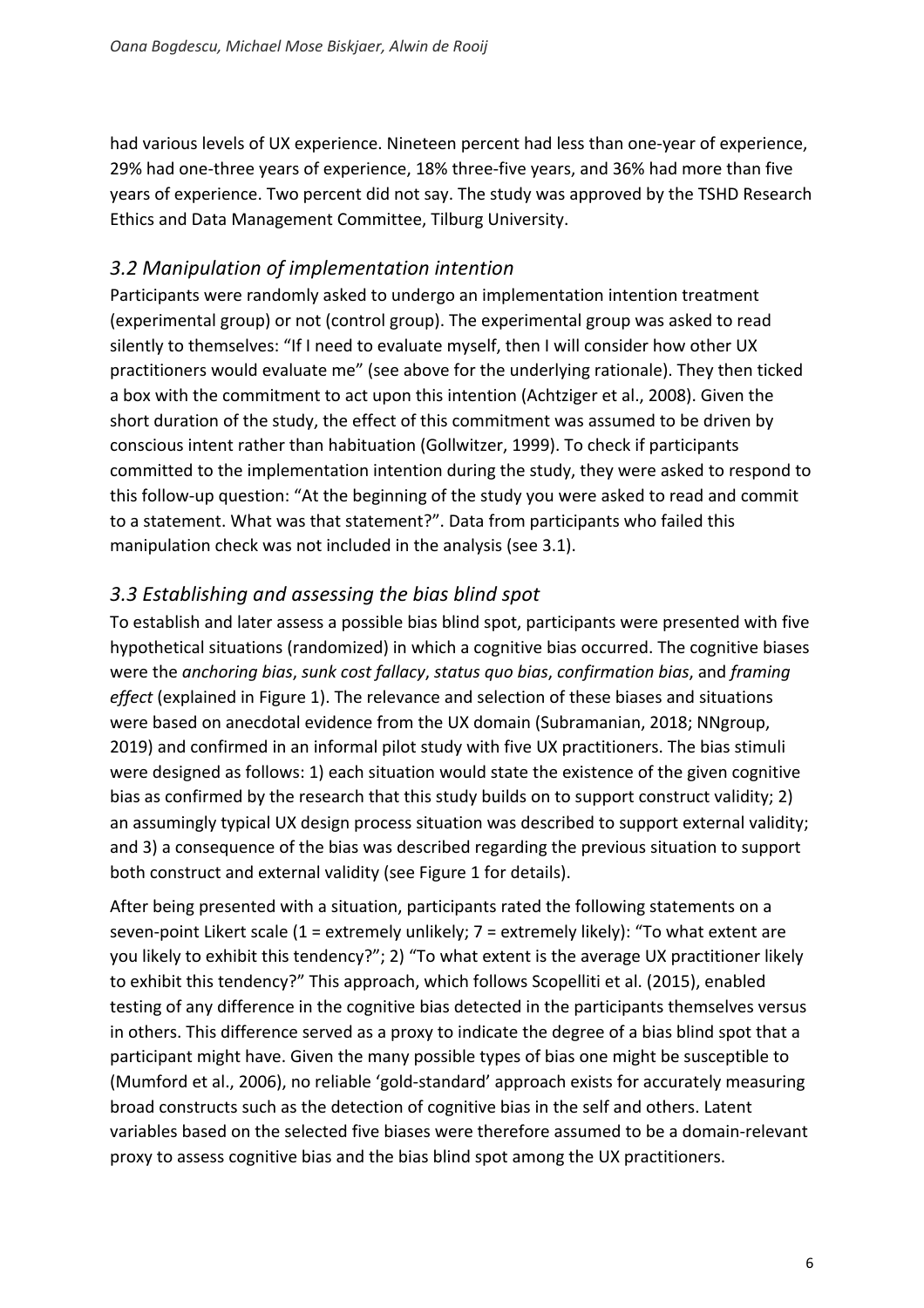had various levels of UX experience. Nineteen percent had less than one-year of experience, 29% had one-three years of experience, 18% three-five years, and 36% had more than five years of experience. Two percent did not say. The study was approved by the TSHD Research Ethics and Data Management Committee, Tilburg University.

#### *3.2 Manipulation of implementation intention*

Participants were randomly asked to undergo an implementation intention treatment (experimental group) or not (control group). The experimental group was asked to read silently to themselves: "If I need to evaluate myself, then I will consider how other UX practitioners would evaluate me" (see above for the underlying rationale). They then ticked a box with the commitment to act upon this intention (Achtziger et al., 2008). Given the short duration of the study, the effect of this commitment was assumed to be driven by conscious intent rather than habituation (Gollwitzer, 1999). To check if participants committed to the implementation intention during the study, they were asked to respond to this follow-up question: "At the beginning of the study you were asked to read and commit to a statement. What was that statement?". Data from participants who failed this manipulation check was not included in the analysis (see 3.1).

#### *3.3 Establishing and assessing the bias blind spot*

To establish and later assess a possible bias blind spot, participants were presented with five hypothetical situations (randomized) in which a cognitive bias occurred. The cognitive biases were the *anchoring bias*, *sunk cost fallacy*, *status quo bias*, *confirmation bias*, and *framing effect* (explained in Figure 1). The relevance and selection of these biases and situations were based on anecdotal evidence from the UX domain (Subramanian, 2018; NNgroup, 2019) and confirmed in an informal pilot study with five UX practitioners. The bias stimuli were designed as follows: 1) each situation would state the existence of the given cognitive bias as confirmed by the research that this study builds on to support construct validity; 2) an assumingly typical UX design process situation was described to support external validity; and 3) a consequence of the bias was described regarding the previous situation to support both construct and external validity (see Figure 1 for details).

After being presented with a situation, participants rated the following statements on a seven-point Likert scale (1 = extremely unlikely; 7 = extremely likely): "To what extent are you likely to exhibit this tendency?"; 2) "To what extent is the average UX practitioner likely to exhibit this tendency?" This approach, which follows Scopelliti et al. (2015), enabled testing of any difference in the cognitive bias detected in the participants themselves versus in others. This difference served as a proxy to indicate the degree of a bias blind spot that a participant might have. Given the many possible types of bias one might be susceptible to (Mumford et al., 2006), no reliable 'gold-standard' approach exists for accurately measuring broad constructs such as the detection of cognitive bias in the self and others. Latent variables based on the selected five biases were therefore assumed to be a domain-relevant proxy to assess cognitive bias and the bias blind spot among the UX practitioners.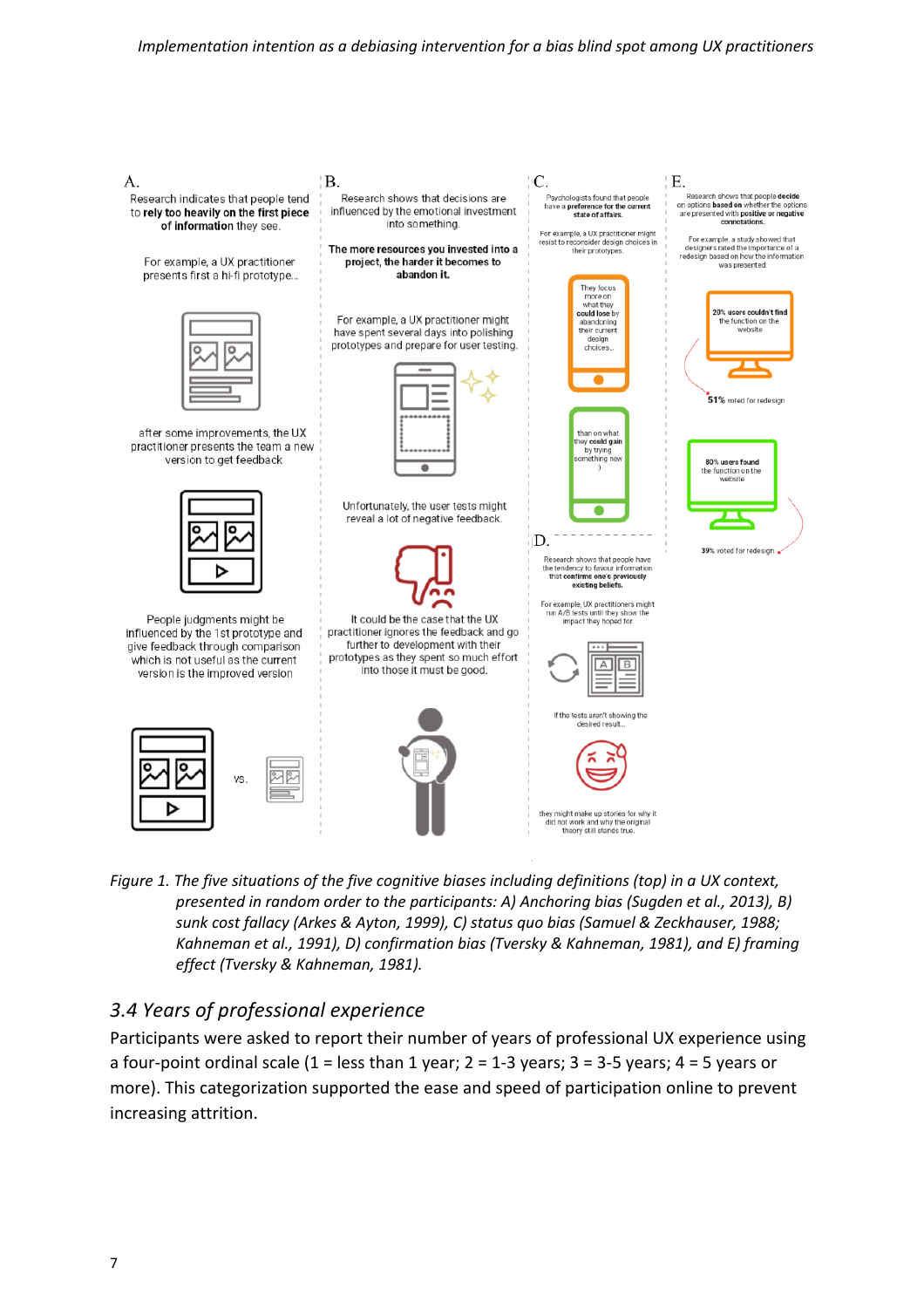

*Figure 1. The five situations of the five cognitive biases including definitions (top) in a UX context, presented in random order to the participants: A) Anchoring bias (Sugden et al., 2013), B) sunk cost fallacy (Arkes & Ayton, 1999), C) status quo bias (Samuel & Zeckhauser, 1988; Kahneman et al., 1991), D) confirmation bias (Tversky & Kahneman, 1981), and E) framing effect (Tversky & Kahneman, 1981).*

#### *3.4 Years of professional experience*

Participants were asked to report their number of years of professional UX experience using a four-point ordinal scale  $(1 =$  less than 1 year;  $2 = 1-3$  years;  $3 = 3-5$  years;  $4 = 5$  years or more). This categorization supported the ease and speed of participation online to prevent increasing attrition.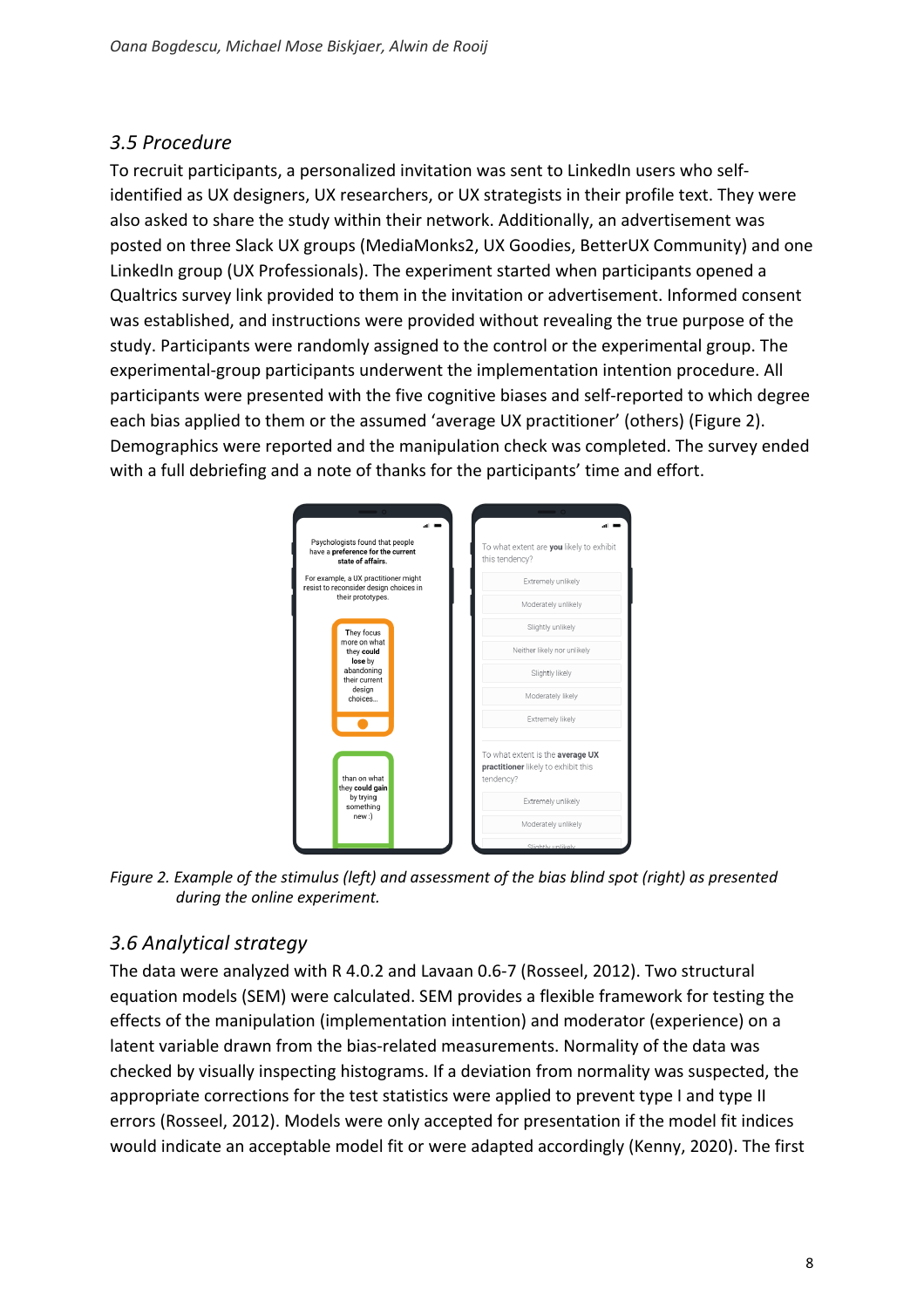#### *3.5 Procedure*

To recruit participants, a personalized invitation was sent to LinkedIn users who selfidentified as UX designers, UX researchers, or UX strategists in their profile text. They were also asked to share the study within their network. Additionally, an advertisement was posted on three Slack UX groups (MediaMonks2, UX Goodies, BetterUX Community) and one LinkedIn group (UX Professionals). The experiment started when participants opened a Qualtrics survey link provided to them in the invitation or advertisement. Informed consent was established, and instructions were provided without revealing the true purpose of the study. Participants were randomly assigned to the control or the experimental group. The experimental-group participants underwent the implementation intention procedure. All participants were presented with the five cognitive biases and self-reported to which degree each bias applied to them or the assumed 'average UX practitioner' (others) (Figure 2). Demographics were reported and the manipulation check was completed. The survey ended with a full debriefing and a note of thanks for the participants' time and effort.



*Figure 2. Example of the stimulus (left) and assessment of the bias blind spot (right) as presented during the online experiment.*

#### *3.6 Analytical strategy*

The data were analyzed with R 4.0.2 and Lavaan 0.6-7 (Rosseel, 2012). Two structural equation models (SEM) were calculated. SEM provides a flexible framework for testing the effects of the manipulation (implementation intention) and moderator (experience) on a latent variable drawn from the bias-related measurements. Normality of the data was checked by visually inspecting histograms. If a deviation from normality was suspected, the appropriate corrections for the test statistics were applied to prevent type I and type II errors (Rosseel, 2012). Models were only accepted for presentation if the model fit indices would indicate an acceptable model fit or were adapted accordingly (Kenny, 2020). The first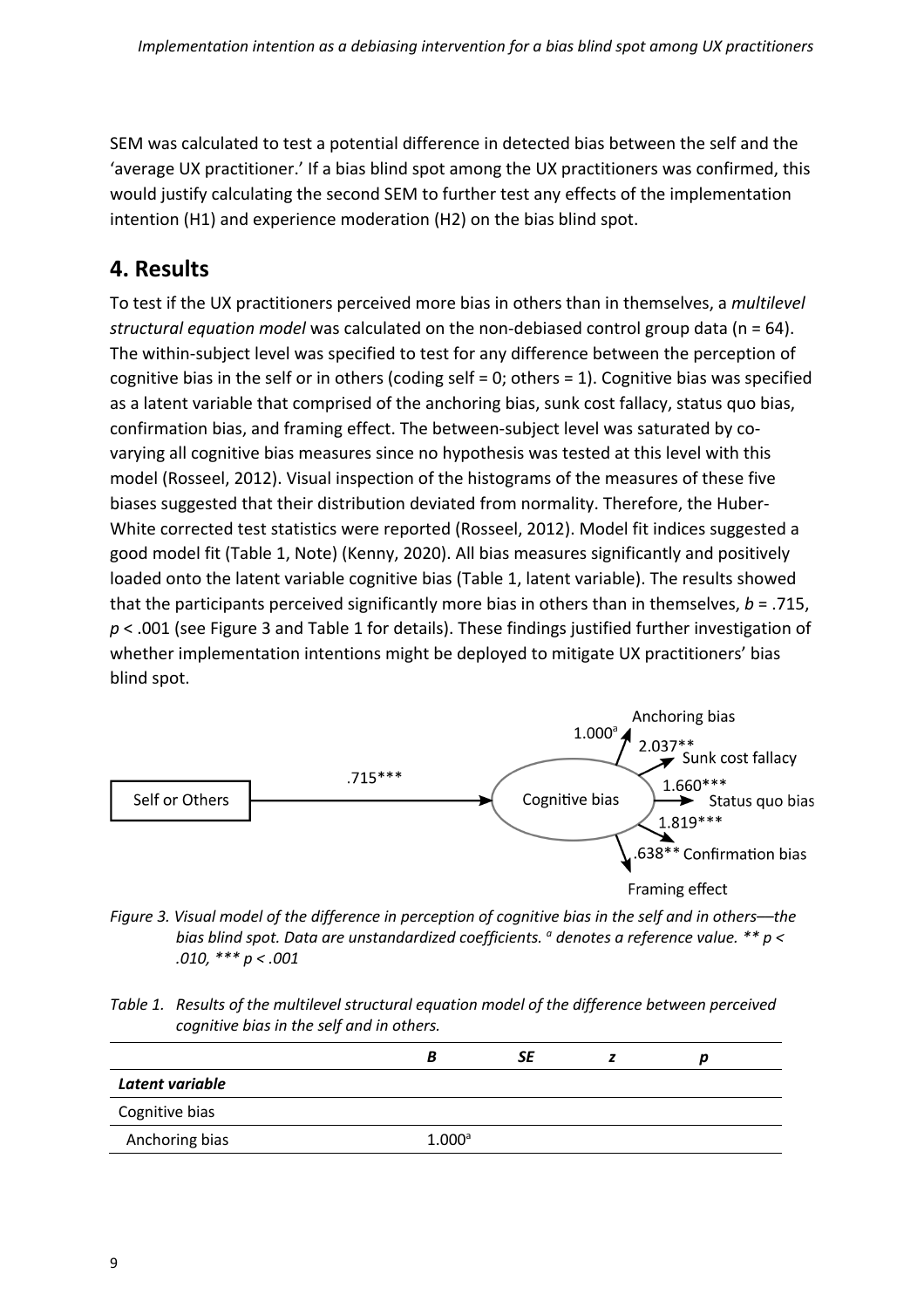SEM was calculated to test a potential difference in detected bias between the self and the 'average UX practitioner.' If a bias blind spot among the UX practitioners was confirmed, this would justify calculating the second SEM to further test any effects of the implementation intention (H1) and experience moderation (H2) on the bias blind spot.

### **4. Results**

To test if the UX practitioners perceived more bias in others than in themselves, a *multilevel structural equation model* was calculated on the non-debiased control group data (n = 64). The within-subject level was specified to test for any difference between the perception of cognitive bias in the self or in others (coding self = 0; others = 1). Cognitive bias was specified as a latent variable that comprised of the anchoring bias, sunk cost fallacy, status quo bias, confirmation bias, and framing effect. The between-subject level was saturated by covarying all cognitive bias measures since no hypothesis was tested at this level with this model (Rosseel, 2012). Visual inspection of the histograms of the measures of these five biases suggested that their distribution deviated from normality. Therefore, the Huber-White corrected test statistics were reported (Rosseel, 2012). Model fit indices suggested a good model fit (Table 1, Note) (Kenny, 2020). All bias measures significantly and positively loaded onto the latent variable cognitive bias (Table 1, latent variable). The results showed that the participants perceived significantly more bias in others than in themselves, *b* = .715, *p* < .001 (see Figure 3 and Table 1 for details). These findings justified further investigation of whether implementation intentions might be deployed to mitigate UX practitioners' bias blind spot.



*Figure 3. Visual model of the difference in perception of cognitive bias in the self and in others––the bias blind spot. Data are unstandardized coefficients. a denotes a reference value. \*\* p < .010, \*\*\* p < .001*

*Table 1. Results of the multilevel structural equation model of the difference between perceived cognitive bias in the self and in others.*

|                 | В         | SE |  |  |
|-----------------|-----------|----|--|--|
| Latent variable |           |    |  |  |
| Cognitive bias  |           |    |  |  |
| Anchoring bias  | $1.000^a$ |    |  |  |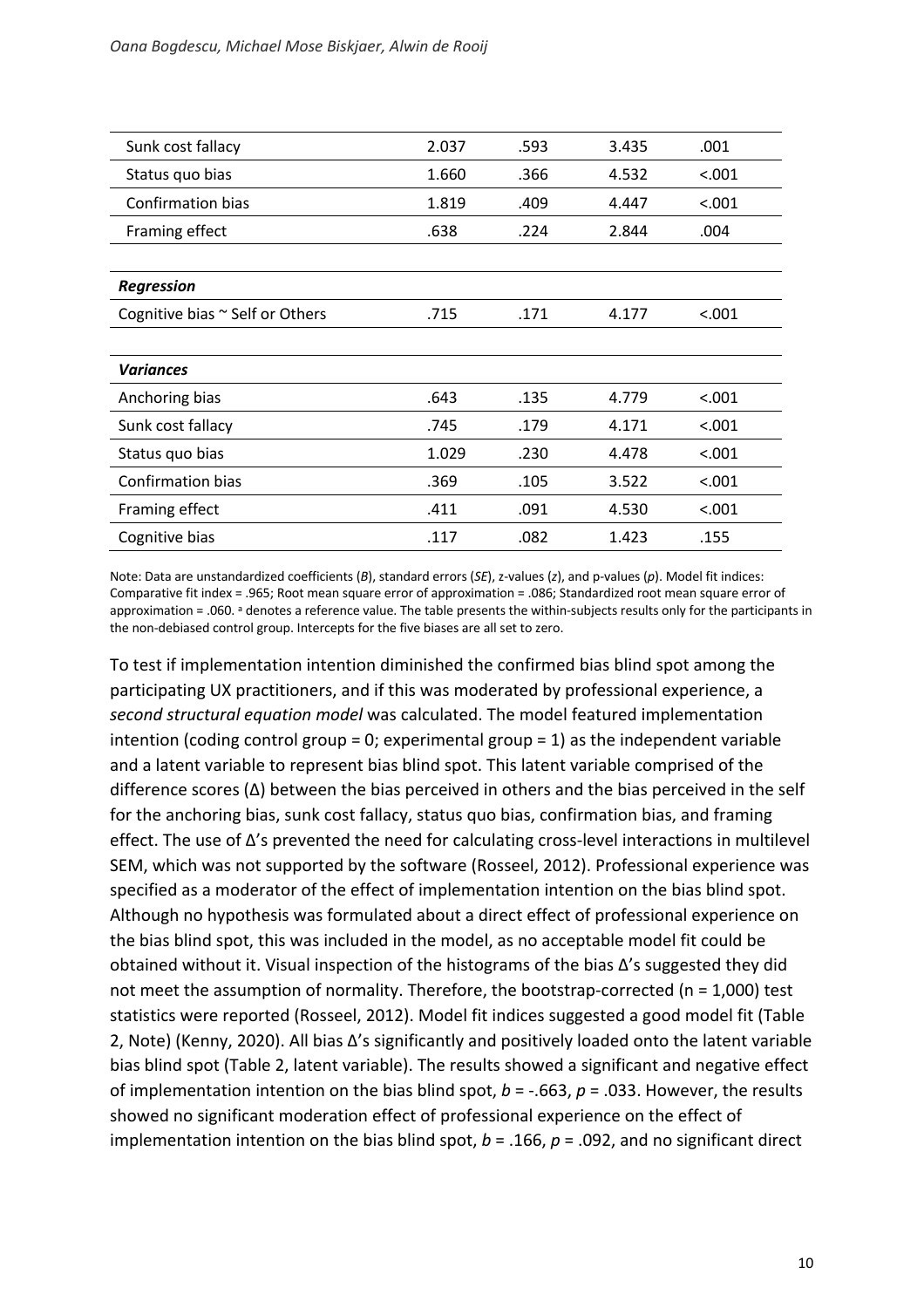| 2.037 | .593 | 3.435 | .001   |
|-------|------|-------|--------|
| 1.660 | .366 | 4.532 | < .001 |
| 1.819 | .409 | 4.447 | 0.001  |
| .638  | .224 | 2.844 | .004   |
|       |      |       |        |
|       |      |       |        |
| .715  | .171 | 4.177 | < .001 |
|       |      |       |        |
|       |      |       |        |
| .643  | .135 | 4.779 | 0.001  |
| .745  | .179 | 4.171 | < .001 |
| 1.029 | .230 | 4.478 | < .001 |
| .369  | .105 | 3.522 | < .001 |
| .411  | .091 | 4.530 | < .001 |
| .117  | .082 | 1.423 | .155   |
|       |      |       |        |

Note: Data are unstandardized coefficients (*B*), standard errors (*SE*), z-values (*z*), and p-values (*p*). Model fit indices: Comparative fit index = .965; Root mean square error of approximation = .086; Standardized root mean square error of approximation = .060. a denotes a reference value. The table presents the within-subjects results only for the participants in the non-debiased control group. Intercepts for the five biases are all set to zero.

To test if implementation intention diminished the confirmed bias blind spot among the participating UX practitioners, and if this was moderated by professional experience, a *second structural equation model* was calculated. The model featured implementation intention (coding control group = 0; experimental group = 1) as the independent variable and a latent variable to represent bias blind spot. This latent variable comprised of the difference scores (Δ) between the bias perceived in others and the bias perceived in the self for the anchoring bias, sunk cost fallacy, status quo bias, confirmation bias, and framing effect. The use of Δ's prevented the need for calculating cross-level interactions in multilevel SEM, which was not supported by the software (Rosseel, 2012). Professional experience was specified as a moderator of the effect of implementation intention on the bias blind spot. Although no hypothesis was formulated about a direct effect of professional experience on the bias blind spot, this was included in the model, as no acceptable model fit could be obtained without it. Visual inspection of the histograms of the bias Δ's suggested they did not meet the assumption of normality. Therefore, the bootstrap-corrected (n = 1,000) test statistics were reported (Rosseel, 2012). Model fit indices suggested a good model fit (Table 2, Note) (Kenny, 2020). All bias Δ's significantly and positively loaded onto the latent variable bias blind spot (Table 2, latent variable). The results showed a significant and negative effect of implementation intention on the bias blind spot, *b* = -.663, *p* = .033. However, the results showed no significant moderation effect of professional experience on the effect of implementation intention on the bias blind spot, *b* = .166, *p* = .092, and no significant direct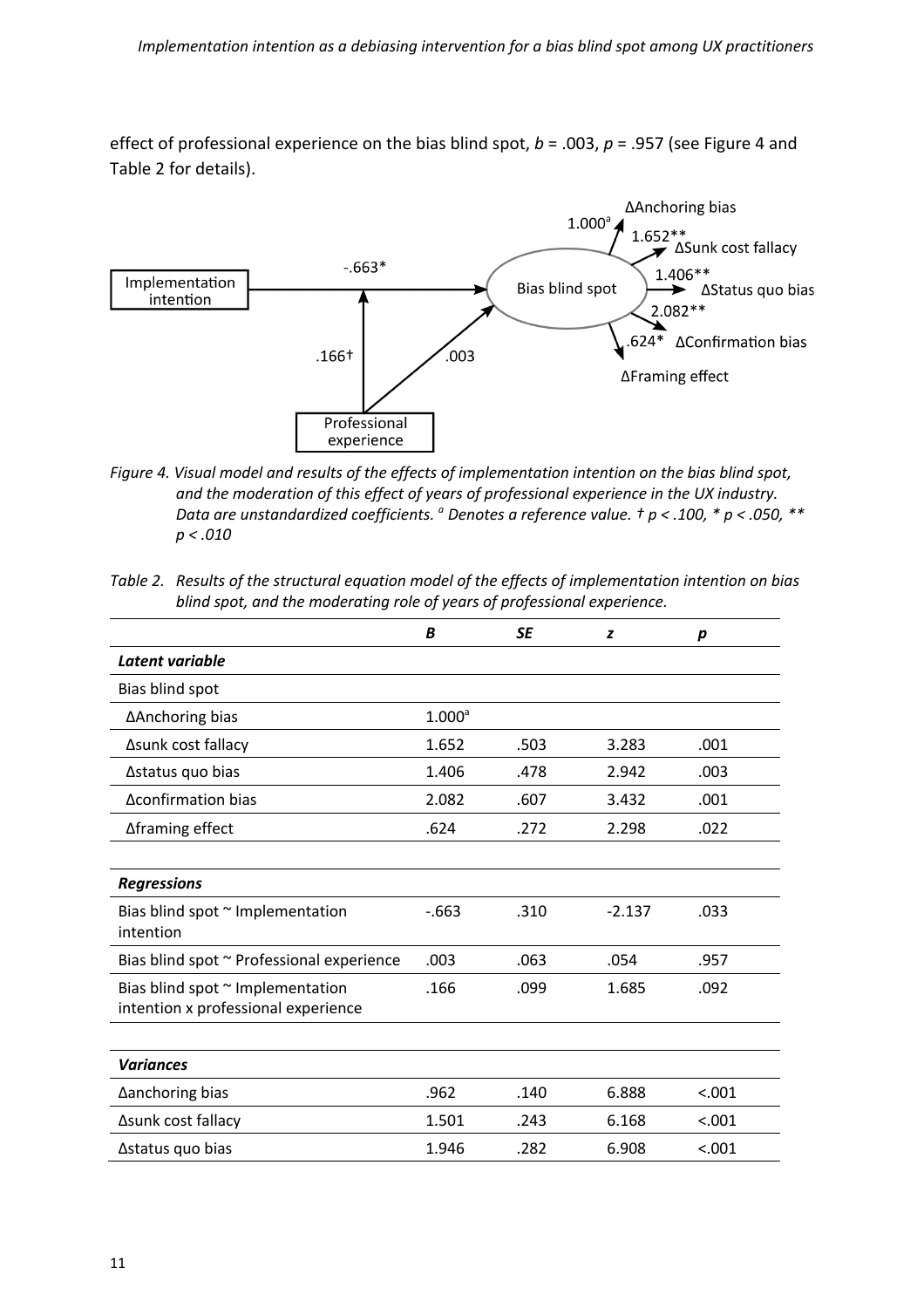effect of professional experience on the bias blind spot, *b* = .003, *p* = .957 (see Figure 4 and Table 2 for details).



- *Figure 4. Visual model and results of the effects of implementation intention on the bias blind spot, and the moderation of this effect of years of professional experience in the UX industry. Data are unstandardized coefficients. a Denotes a reference value. † p < .100, \* p < .050, \*\* p < .010*
- *Table 2. Results of the structural equation model of the effects of implementation intention on bias blind spot, and the moderating role of years of professional experience.*

|                                                                         | B                  | <b>SE</b> | z        | p      |
|-------------------------------------------------------------------------|--------------------|-----------|----------|--------|
| Latent variable                                                         |                    |           |          |        |
| Bias blind spot                                                         |                    |           |          |        |
| ∆Anchoring bias                                                         | 1.000 <sup>a</sup> |           |          |        |
| Asunk cost fallacy                                                      | 1.652              | .503      | 3.283    | .001   |
| ∆status quo bias                                                        | 1.406              | .478      | 2.942    | .003   |
| Δconfirmation bias                                                      | 2.082              | .607      | 3.432    | .001   |
| ∆framing effect                                                         | .624               | .272      | 2.298    | .022   |
|                                                                         |                    |           |          |        |
| <b>Regressions</b>                                                      |                    |           |          |        |
| Bias blind spot ~ Implementation<br>intention                           | $-663$             | .310      | $-2.137$ | .033   |
| Bias blind spot ~ Professional experience                               | .003               | .063      | .054     | .957   |
| Bias blind spot ~ Implementation<br>intention x professional experience | .166               | .099      | 1.685    | .092   |
|                                                                         |                    |           |          |        |
| <b>Variances</b>                                                        |                    |           |          |        |
| ∆anchoring bias                                                         | .962               | .140      | 6.888    | < .001 |
| ∆sunk cost fallacy                                                      | 1.501              | .243      | 6.168    | < .001 |
| ∆status quo bias                                                        | 1.946              | .282      | 6.908    | < .001 |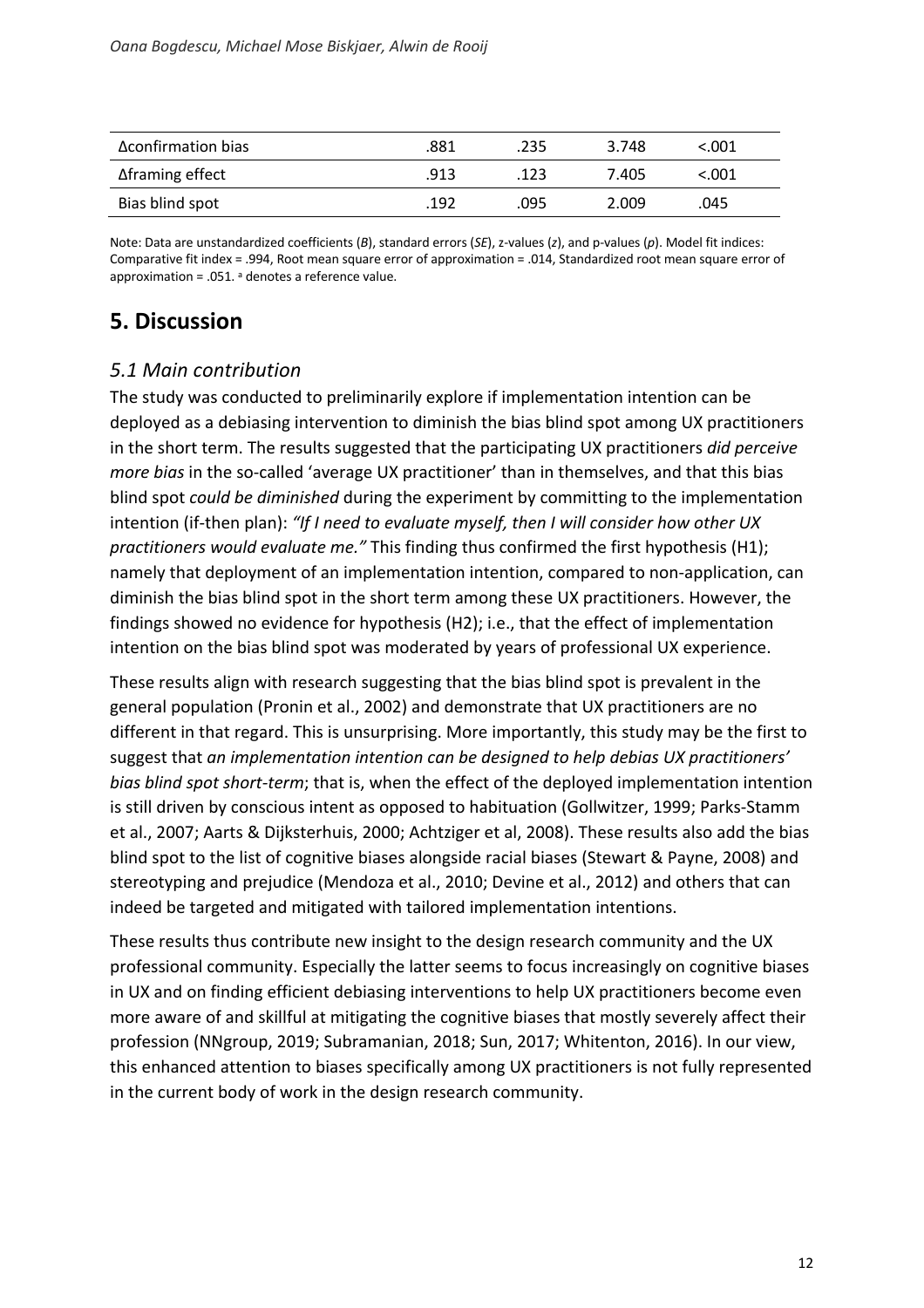| Δconfirmation bias      | .881 | .235 | 3.748 | < 0.001 |
|-------------------------|------|------|-------|---------|
| $\Delta$ framing effect | .913 | .123 | 7.405 | <.001   |
| Bias blind spot         | .192 | .095 | 2.009 | .045    |

Note: Data are unstandardized coefficients (*B*), standard errors (*SE*), z-values (*z*), and p-values (*p*). Model fit indices: Comparative fit index = .994, Root mean square error of approximation = .014, Standardized root mean square error of approximation = .051.  $a$  denotes a reference value.

### **5. Discussion**

#### *5.1 Main contribution*

The study was conducted to preliminarily explore if implementation intention can be deployed as a debiasing intervention to diminish the bias blind spot among UX practitioners in the short term. The results suggested that the participating UX practitioners *did perceive more bias* in the so-called 'average UX practitioner' than in themselves, and that this bias blind spot *could be diminished* during the experiment by committing to the implementation intention (if-then plan): *"If I need to evaluate myself, then I will consider how other UX practitioners would evaluate me."* This finding thus confirmed the first hypothesis (H1); namely that deployment of an implementation intention, compared to non-application, can diminish the bias blind spot in the short term among these UX practitioners. However, the findings showed no evidence for hypothesis (H2); i.e., that the effect of implementation intention on the bias blind spot was moderated by years of professional UX experience.

These results align with research suggesting that the bias blind spot is prevalent in the general population (Pronin et al., 2002) and demonstrate that UX practitioners are no different in that regard. This is unsurprising. More importantly, this study may be the first to suggest that *an implementation intention can be designed to help debias UX practitioners' bias blind spot short-term*; that is, when the effect of the deployed implementation intention is still driven by conscious intent as opposed to habituation (Gollwitzer, 1999; Parks-Stamm et al., 2007; Aarts & Dijksterhuis, 2000; Achtziger et al, 2008). These results also add the bias blind spot to the list of cognitive biases alongside racial biases (Stewart & Payne, 2008) and stereotyping and prejudice (Mendoza et al., 2010; Devine et al., 2012) and others that can indeed be targeted and mitigated with tailored implementation intentions.

These results thus contribute new insight to the design research community and the UX professional community. Especially the latter seems to focus increasingly on cognitive biases in UX and on finding efficient debiasing interventions to help UX practitioners become even more aware of and skillful at mitigating the cognitive biases that mostly severely affect their profession (NNgroup, 2019; Subramanian, 2018; Sun, 2017; Whitenton, 2016). In our view, this enhanced attention to biases specifically among UX practitioners is not fully represented in the current body of work in the design research community.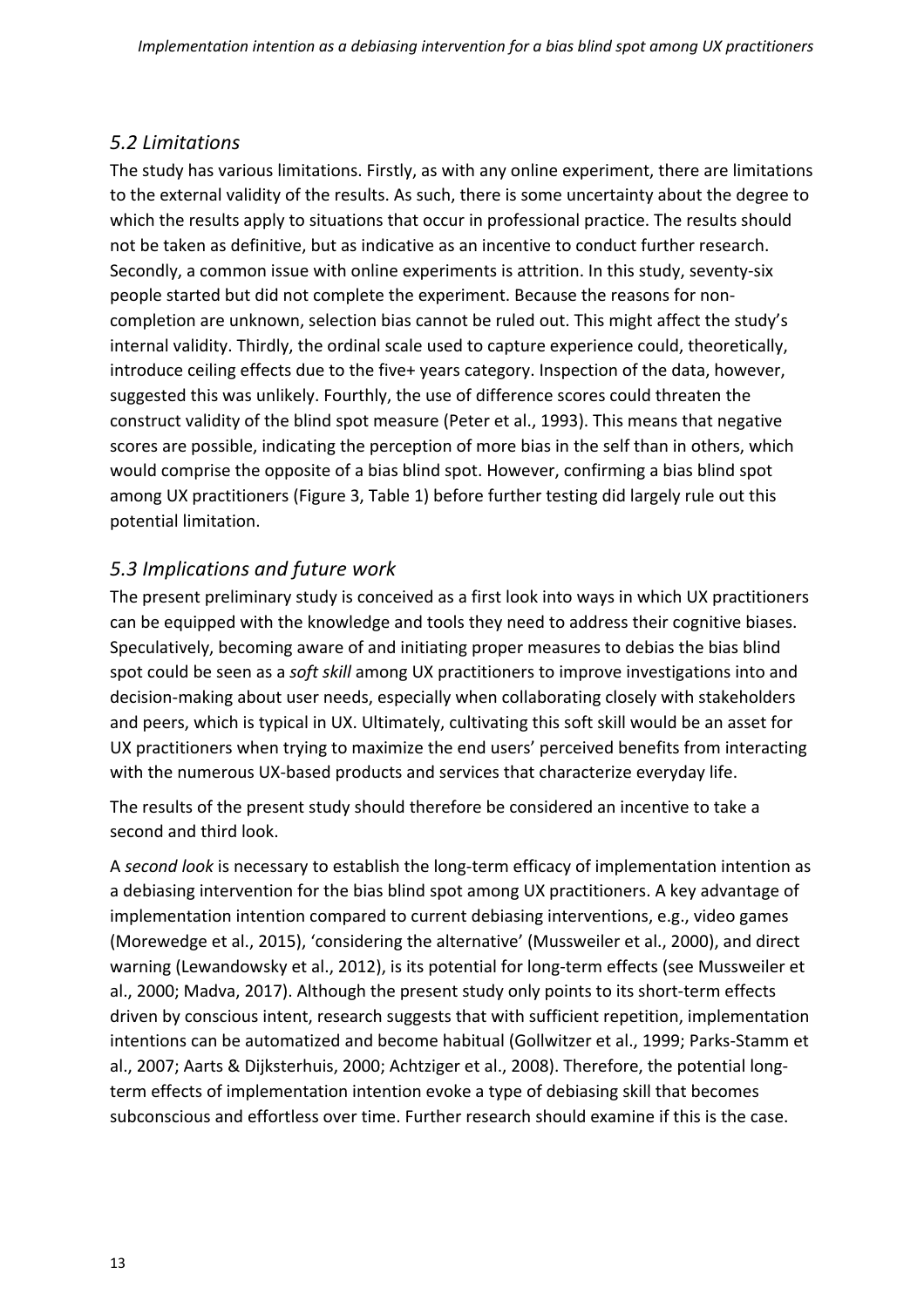#### *5.2 Limitations*

The study has various limitations. Firstly, as with any online experiment, there are limitations to the external validity of the results. As such, there is some uncertainty about the degree to which the results apply to situations that occur in professional practice. The results should not be taken as definitive, but as indicative as an incentive to conduct further research. Secondly, a common issue with online experiments is attrition. In this study, seventy-six people started but did not complete the experiment. Because the reasons for noncompletion are unknown, selection bias cannot be ruled out. This might affect the study's internal validity. Thirdly, the ordinal scale used to capture experience could, theoretically, introduce ceiling effects due to the five+ years category. Inspection of the data, however, suggested this was unlikely. Fourthly, the use of difference scores could threaten the construct validity of the blind spot measure (Peter et al., 1993). This means that negative scores are possible, indicating the perception of more bias in the self than in others, which would comprise the opposite of a bias blind spot. However, confirming a bias blind spot among UX practitioners (Figure 3, Table 1) before further testing did largely rule out this potential limitation.

#### *5.3 Implications and future work*

The present preliminary study is conceived as a first look into ways in which UX practitioners can be equipped with the knowledge and tools they need to address their cognitive biases. Speculatively, becoming aware of and initiating proper measures to debias the bias blind spot could be seen as a *soft skill* among UX practitioners to improve investigations into and decision-making about user needs, especially when collaborating closely with stakeholders and peers, which is typical in UX. Ultimately, cultivating this soft skill would be an asset for UX practitioners when trying to maximize the end users' perceived benefits from interacting with the numerous UX-based products and services that characterize everyday life.

The results of the present study should therefore be considered an incentive to take a second and third look.

A *second look* is necessary to establish the long-term efficacy of implementation intention as a debiasing intervention for the bias blind spot among UX practitioners. A key advantage of implementation intention compared to current debiasing interventions, e.g., video games (Morewedge et al., 2015), 'considering the alternative' (Mussweiler et al., 2000), and direct warning (Lewandowsky et al., 2012), is its potential for long-term effects (see Mussweiler et al., 2000; Madva, 2017). Although the present study only points to its short-term effects driven by conscious intent, research suggests that with sufficient repetition, implementation intentions can be automatized and become habitual (Gollwitzer et al., 1999; Parks-Stamm et al., 2007; Aarts & Dijksterhuis, 2000; Achtziger et al., 2008). Therefore, the potential longterm effects of implementation intention evoke a type of debiasing skill that becomes subconscious and effortless over time. Further research should examine if this is the case.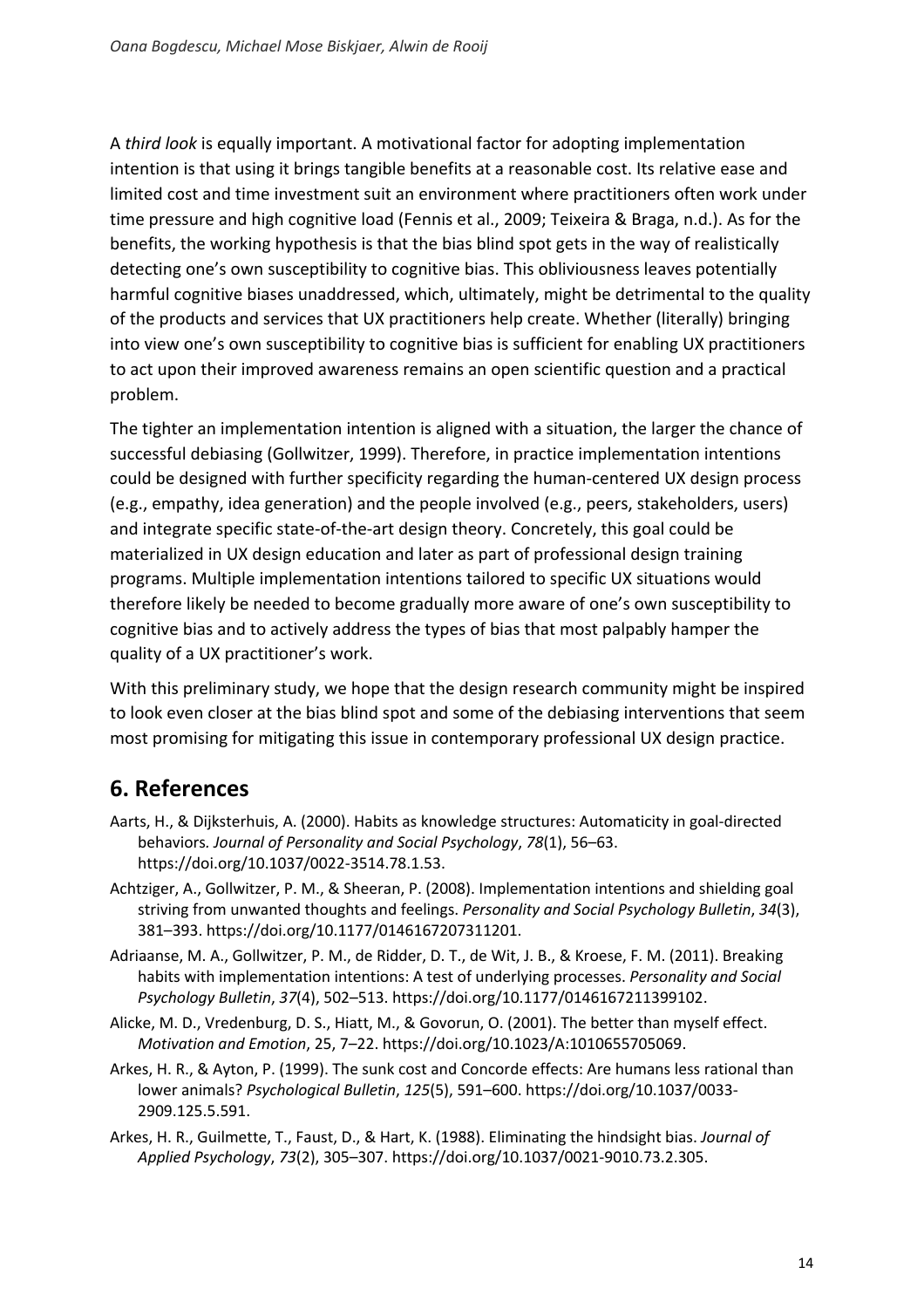A *third look* is equally important. A motivational factor for adopting implementation intention is that using it brings tangible benefits at a reasonable cost. Its relative ease and limited cost and time investment suit an environment where practitioners often work under time pressure and high cognitive load (Fennis et al., 2009; Teixeira & Braga, n.d.). As for the benefits, the working hypothesis is that the bias blind spot gets in the way of realistically detecting one's own susceptibility to cognitive bias. This obliviousness leaves potentially harmful cognitive biases unaddressed, which, ultimately, might be detrimental to the quality of the products and services that UX practitioners help create. Whether (literally) bringing into view one's own susceptibility to cognitive bias is sufficient for enabling UX practitioners to act upon their improved awareness remains an open scientific question and a practical problem.

The tighter an implementation intention is aligned with a situation, the larger the chance of successful debiasing (Gollwitzer, 1999). Therefore, in practice implementation intentions could be designed with further specificity regarding the human-centered UX design process (e.g., empathy, idea generation) and the people involved (e.g., peers, stakeholders, users) and integrate specific state-of-the-art design theory. Concretely, this goal could be materialized in UX design education and later as part of professional design training programs. Multiple implementation intentions tailored to specific UX situations would therefore likely be needed to become gradually more aware of one's own susceptibility to cognitive bias and to actively address the types of bias that most palpably hamper the quality of a UX practitioner's work.

With this preliminary study, we hope that the design research community might be inspired to look even closer at the bias blind spot and some of the debiasing interventions that seem most promising for mitigating this issue in contemporary professional UX design practice.

### **6. References**

- Aarts, H., & Dijksterhuis, A. (2000). Habits as knowledge structures: Automaticity in goal-directed behaviors*. Journal of Personality and Social Psychology*, *78*(1), 56–63. https://doi.org/10.1037/0022-3514.78.1.53.
- Achtziger, A., Gollwitzer, P. M., & Sheeran, P. (2008). Implementation intentions and shielding goal striving from unwanted thoughts and feelings. *Personality and Social Psychology Bulletin*, *34*(3), 381–393. https://doi.org/10.1177/0146167207311201.
- Adriaanse, M. A., Gollwitzer, P. M., de Ridder, D. T., de Wit, J. B., & Kroese, F. M. (2011). Breaking habits with implementation intentions: A test of underlying processes. *Personality and Social Psychology Bulletin*, *37*(4), 502–513. https://doi.org/10.1177/0146167211399102.
- Alicke, M. D., Vredenburg, D. S., Hiatt, M., & Govorun, O. (2001). The better than myself effect. *Motivation and Emotion*, 25, 7–22. https://doi.org/10.1023/A:1010655705069.
- Arkes, H. R., & Ayton, P. (1999). The sunk cost and Concorde effects: Are humans less rational than lower animals? *Psychological Bulletin*, *125*(5), 591–600. https://doi.org/10.1037/0033- 2909.125.5.591.
- Arkes, H. R., Guilmette, T., Faust, D., & Hart, K. (1988). Eliminating the hindsight bias. *Journal of Applied Psychology*, *73*(2), 305–307. https://doi.org/10.1037/0021-9010.73.2.305.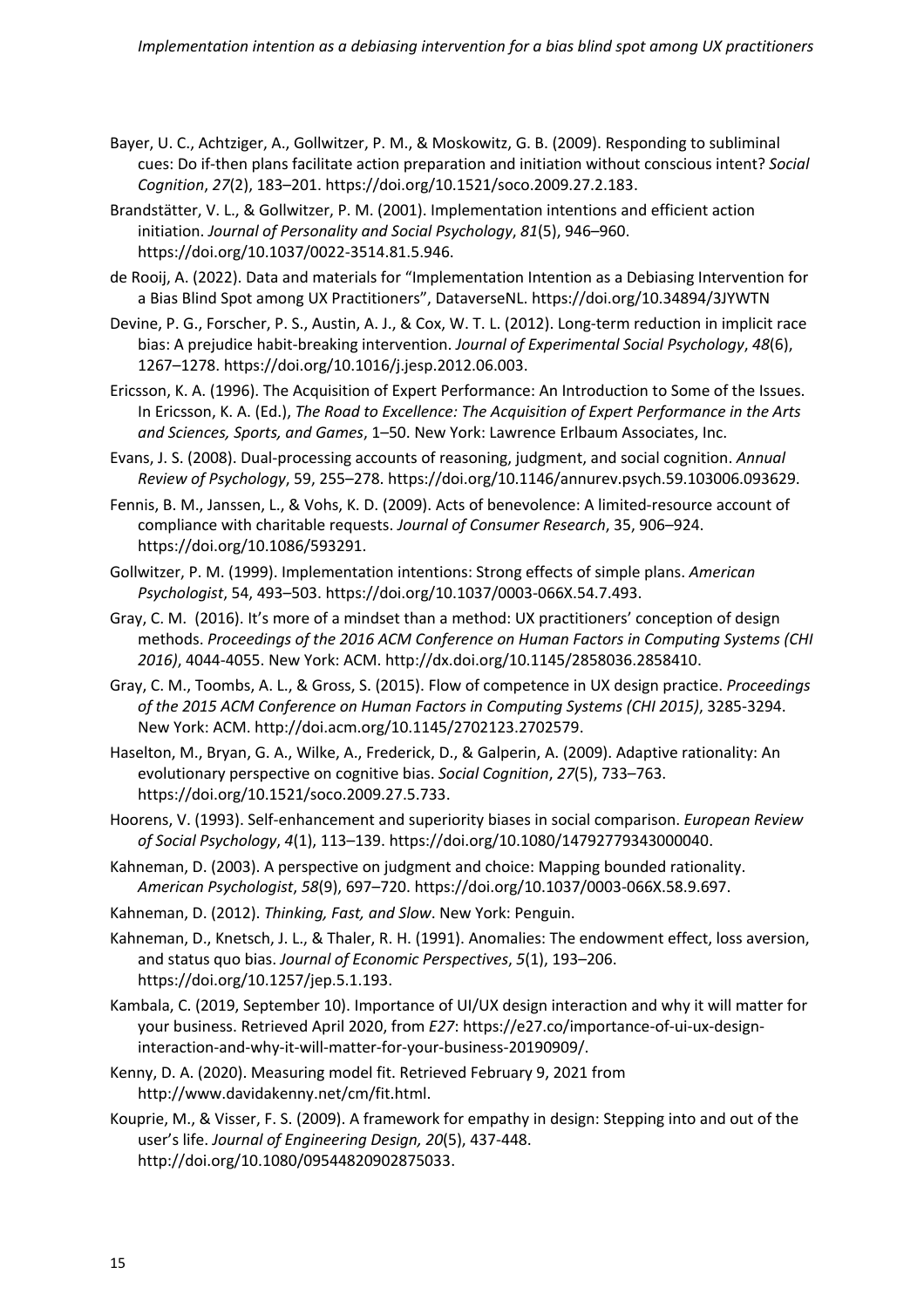- Bayer, U. C., Achtziger, A., Gollwitzer, P. M., & Moskowitz, G. B. (2009). Responding to subliminal cues: Do if-then plans facilitate action preparation and initiation without conscious intent? *Social Cognition*, *27*(2), 183–201. https://doi.org/10.1521/soco.2009.27.2.183.
- Brandstätter, V. L., & Gollwitzer, P. M. (2001). Implementation intentions and efficient action initiation. *Journal of Personality and Social Psychology*, *81*(5), 946–960. https://doi.org/10.1037/0022-3514.81.5.946.
- de Rooij, A. (2022). Data and materials for "Implementation Intention as a Debiasing Intervention for a Bias Blind Spot among UX Practitioners", DataverseNL. https://doi.org/10.34894/3JYWTN
- Devine, P. G., Forscher, P. S., Austin, A. J., & Cox, W. T. L. (2012). Long-term reduction in implicit race bias: A prejudice habit-breaking intervention. *Journal of Experimental Social Psychology*, *48*(6), 1267–1278. https://doi.org/10.1016/j.jesp.2012.06.003.
- Ericsson, K. A. (1996). The Acquisition of Expert Performance: An Introduction to Some of the Issues. In Ericsson, K. A. (Ed.), *The Road to Excellence: The Acquisition of Expert Performance in the Arts and Sciences, Sports, and Games*, 1–50. New York: Lawrence Erlbaum Associates, Inc.
- Evans, J. S. (2008). Dual-processing accounts of reasoning, judgment, and social cognition. *Annual Review of Psychology*, 59, 255–278. https://doi.org/10.1146/annurev.psych.59.103006.093629.
- Fennis, B. M., Janssen, L., & Vohs, K. D. (2009). Acts of benevolence: A limited-resource account of compliance with charitable requests. *Journal of Consumer Research*, 35, 906–924. https://doi.org/10.1086/593291.
- Gollwitzer, P. M. (1999). Implementation intentions: Strong effects of simple plans. *American Psychologist*, 54, 493–503. https://doi.org/10.1037/0003-066X.54.7.493.
- Gray, C. M. (2016). It's more of a mindset than a method: UX practitioners' conception of design methods. *Proceedings of the 2016 ACM Conference on Human Factors in Computing Systems (CHI 2016)*, 4044-4055. New York: ACM. http://dx.doi.org/10.1145/2858036.2858410.
- Gray, C. M., Toombs, A. L., & Gross, S. (2015). Flow of competence in UX design practice. *Proceedings of the 2015 ACM Conference on Human Factors in Computing Systems (CHI 2015)*, 3285-3294. New York: ACM. http://doi.acm.org/10.1145/2702123.2702579.
- Haselton, M., Bryan, G. A., Wilke, A., Frederick, D., & Galperin, A. (2009). Adaptive rationality: An evolutionary perspective on cognitive bias. *Social Cognition*, *27*(5), 733–763. https://doi.org/10.1521/soco.2009.27.5.733.
- Hoorens, V. (1993). Self-enhancement and superiority biases in social comparison. *European Review of Social Psychology*, *4*(1), 113–139. https://doi.org/10.1080/14792779343000040.
- Kahneman, D. (2003). A perspective on judgment and choice: Mapping bounded rationality. *American Psychologist*, *58*(9), 697–720. https://doi.org/10.1037/0003-066X.58.9.697.
- Kahneman, D. (2012). *Thinking, Fast, and Slow*. New York: Penguin.
- Kahneman, D., Knetsch, J. L., & Thaler, R. H. (1991). Anomalies: The endowment effect, loss aversion, and status quo bias. *Journal of Economic Perspectives*, *5*(1), 193–206. https://doi.org/10.1257/jep.5.1.193.
- Kambala, C. (2019, September 10). Importance of UI/UX design interaction and why it will matter for your business. Retrieved April 2020, from *E27*: https://e27.co/importance-of-ui-ux-designinteraction-and-why-it-will-matter-for-your-business-20190909/.
- Kenny, D. A. (2020). Measuring model fit. Retrieved February 9, 2021 from http://www.davidakenny.net/cm/fit.html.
- Kouprie, M., & Visser, F. S. (2009). A framework for empathy in design: Stepping into and out of the user's life. *Journal of Engineering Design, 20*(5), 437-448. http://doi.org/10.1080/09544820902875033.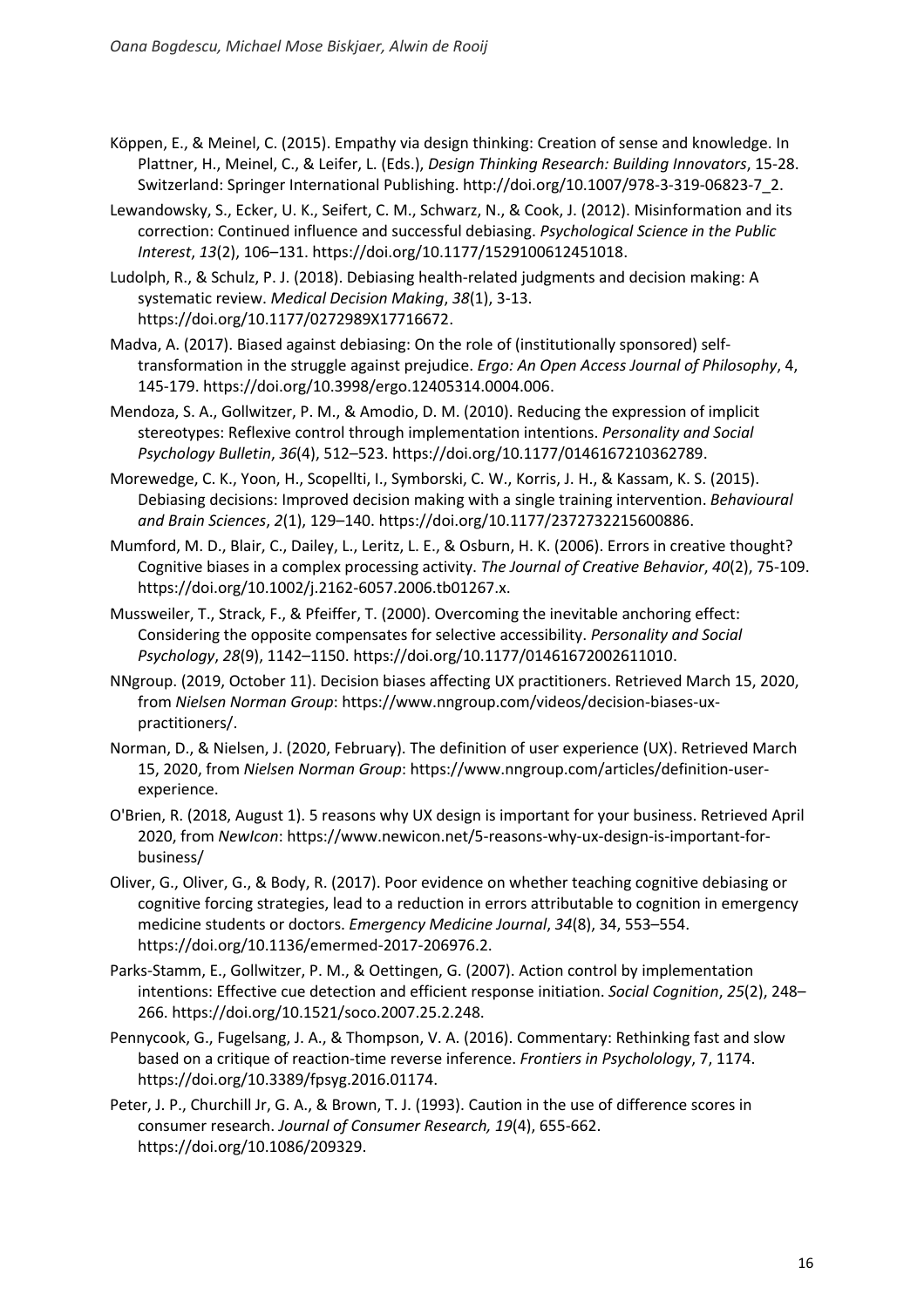- Köppen, E., & Meinel, C. (2015). Empathy via design thinking: Creation of sense and knowledge. In Plattner, H., Meinel, C., & Leifer, L. (Eds.), *Design Thinking Research: Building Innovators*, 15-28. Switzerland: Springer International Publishing. http://doi.org/10.1007/978-3-319-06823-7\_2.
- Lewandowsky, S., Ecker, U. K., Seifert, C. M., Schwarz, N., & Cook, J. (2012). Misinformation and its correction: Continued influence and successful debiasing. *Psychological Science in the Public Interest*, *13*(2), 106–131. https://doi.org/10.1177/1529100612451018.
- Ludolph, R., & Schulz, P. J. (2018). Debiasing health-related judgments and decision making: A systematic review. *Medical Decision Making*, *38*(1), 3-13. https://doi.org/10.1177/0272989X17716672.
- Madva, A. (2017). Biased against debiasing: On the role of (institutionally sponsored) selftransformation in the struggle against prejudice. *Ergo: An Open Access Journal of Philosophy*, 4, 145-179. https://doi.org/10.3998/ergo.12405314.0004.006.
- Mendoza, S. A., Gollwitzer, P. M., & Amodio, D. M. (2010). Reducing the expression of implicit stereotypes: Reflexive control through implementation intentions. *Personality and Social Psychology Bulletin*, *36*(4), 512–523. https://doi.org/10.1177/0146167210362789.
- Morewedge, C. K., Yoon, H., Scopellti, I., Symborski, C. W., Korris, J. H., & Kassam, K. S. (2015). Debiasing decisions: Improved decision making with a single training intervention. *Behavioural and Brain Sciences*, *2*(1), 129–140. https://doi.org/10.1177/2372732215600886.
- Mumford, M. D., Blair, C., Dailey, L., Leritz, L. E., & Osburn, H. K. (2006). Errors in creative thought? Cognitive biases in a complex processing activity. *The Journal of Creative Behavior*, *40*(2), 75-109. https://doi.org/10.1002/j.2162-6057.2006.tb01267.x.
- Mussweiler, T., Strack, F., & Pfeiffer, T. (2000). Overcoming the inevitable anchoring effect: Considering the opposite compensates for selective accessibility. *Personality and Social Psychology*, *28*(9), 1142–1150. https://doi.org/10.1177/01461672002611010.
- NNgroup. (2019, October 11). Decision biases affecting UX practitioners. Retrieved March 15, 2020, from *Nielsen Norman Group*: https://www.nngroup.com/videos/decision-biases-uxpractitioners/.
- Norman, D., & Nielsen, J. (2020, February). The definition of user experience (UX). Retrieved March 15, 2020, from *Nielsen Norman Group*: https://www.nngroup.com/articles/definition-userexperience.
- O'Brien, R. (2018, August 1). 5 reasons why UX design is important for your business. Retrieved April 2020, from *NewIcon*: https://www.newicon.net/5-reasons-why-ux-design-is-important-forbusiness/
- Oliver, G., Oliver, G., & Body, R. (2017). Poor evidence on whether teaching cognitive debiasing or cognitive forcing strategies, lead to a reduction in errors attributable to cognition in emergency medicine students or doctors. *Emergency Medicine Journal*, *34*(8), 34, 553–554. https://doi.org/10.1136/emermed-2017-206976.2.
- Parks-Stamm, E., Gollwitzer, P. M., & Oettingen, G. (2007). Action control by implementation intentions: Effective cue detection and efficient response initiation. *Social Cognition*, *25*(2), 248– 266. https://doi.org/10.1521/soco.2007.25.2.248.
- Pennycook, G., Fugelsang, J. A., & Thompson, V. A. (2016). Commentary: Rethinking fast and slow based on a critique of reaction-time reverse inference. *Frontiers in Psycholology*, 7, 1174. https://doi.org/10.3389/fpsyg.2016.01174.
- Peter, J. P., Churchill Jr, G. A., & Brown, T. J. (1993). Caution in the use of difference scores in consumer research. *Journal of Consumer Research, 19*(4), 655-662. https://doi.org/10.1086/209329.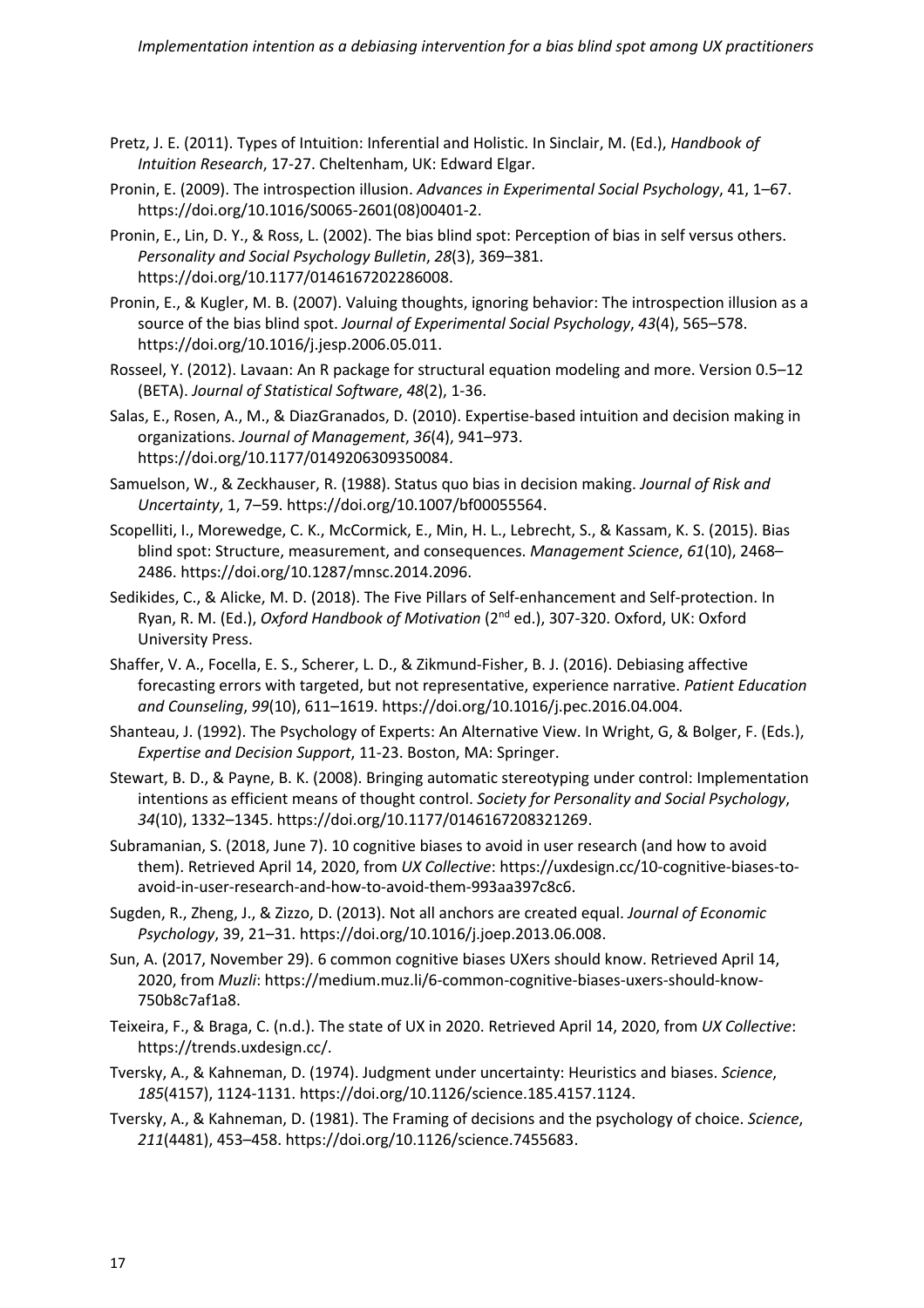- Pretz, J. E. (2011). Types of Intuition: Inferential and Holistic. In Sinclair, M. (Ed.), *Handbook of Intuition Research*, 17-27. Cheltenham, UK: Edward Elgar.
- Pronin, E. (2009). The introspection illusion. *Advances in Experimental Social Psychology*, 41, 1–67. https://doi.org/10.1016/S0065-2601(08)00401-2.
- Pronin, E., Lin, D. Y., & Ross, L. (2002). The bias blind spot: Perception of bias in self versus others. *Personality and Social Psychology Bulletin*, *28*(3), 369–381. https://doi.org/10.1177/0146167202286008.
- Pronin, E., & Kugler, M. B. (2007). Valuing thoughts, ignoring behavior: The introspection illusion as a source of the bias blind spot. *Journal of Experimental Social Psychology*, *43*(4), 565–578. https://doi.org/10.1016/j.jesp.2006.05.011.
- Rosseel, Y. (2012). Lavaan: An R package for structural equation modeling and more. Version 0.5–12 (BETA). *Journal of Statistical Software*, *48*(2), 1-36.
- Salas, E., Rosen, A., M., & DiazGranados, D. (2010). Expertise-based intuition and decision making in organizations. *Journal of Management*, *36*(4), 941–973. https://doi.org/10.1177/0149206309350084.
- Samuelson, W., & Zeckhauser, R. (1988). Status quo bias in decision making. *Journal of Risk and Uncertainty*, 1, 7–59. https://doi.org/10.1007/bf00055564.
- Scopelliti, I., Morewedge, C. K., McCormick, E., Min, H. L., Lebrecht, S., & Kassam, K. S. (2015). Bias blind spot: Structure, measurement, and consequences. *Management Science*, *61*(10), 2468– 2486. https://doi.org/10.1287/mnsc.2014.2096.
- Sedikides, C., & Alicke, M. D. (2018). The Five Pillars of Self-enhancement and Self-protection. In Ryan, R. M. (Ed.), *Oxford Handbook of Motivation* (2nd ed.), 307-320. Oxford, UK: Oxford University Press.
- Shaffer, V. A., Focella, E. S., Scherer, L. D., & Zikmund-Fisher, B. J. (2016). Debiasing affective forecasting errors with targeted, but not representative, experience narrative. *Patient Education and Counseling*, *99*(10), 611–1619. https://doi.org/10.1016/j.pec.2016.04.004.
- Shanteau, J. (1992). The Psychology of Experts: An Alternative View. In Wright, G, & Bolger, F. (Eds.), *Expertise and Decision Support*, 11-23. Boston, MA: Springer.
- Stewart, B. D., & Payne, B. K. (2008). Bringing automatic stereotyping under control: Implementation intentions as efficient means of thought control. *Society for Personality and Social Psychology*, *34*(10), 1332–1345. https://doi.org/10.1177/0146167208321269.
- Subramanian, S. (2018, June 7). 10 cognitive biases to avoid in user research (and how to avoid them). Retrieved April 14, 2020, from *UX Collective*: https://uxdesign.cc/10-cognitive-biases-toavoid-in-user-research-and-how-to-avoid-them-993aa397c8c6.
- Sugden, R., Zheng, J., & Zizzo, D. (2013). Not all anchors are created equal. *Journal of Economic Psychology*, 39, 21–31. https://doi.org/10.1016/j.joep.2013.06.008.
- Sun, A. (2017, November 29). 6 common cognitive biases UXers should know. Retrieved April 14, 2020, from *Muzli*: https://medium.muz.li/6-common-cognitive-biases-uxers-should-know-750b8c7af1a8.
- Teixeira, F., & Braga, C. (n.d.). The state of UX in 2020. Retrieved April 14, 2020, from *UX Collective*: https://trends.uxdesign.cc/.
- Tversky, A., & Kahneman, D. (1974). Judgment under uncertainty: Heuristics and biases. *Science*, *185*(4157), 1124-1131. https://doi.org/10.1126/science.185.4157.1124.
- Tversky, A., & Kahneman, D. (1981). The Framing of decisions and the psychology of choice. *Science*, *211*(4481), 453–458. https://doi.org/10.1126/science.7455683.